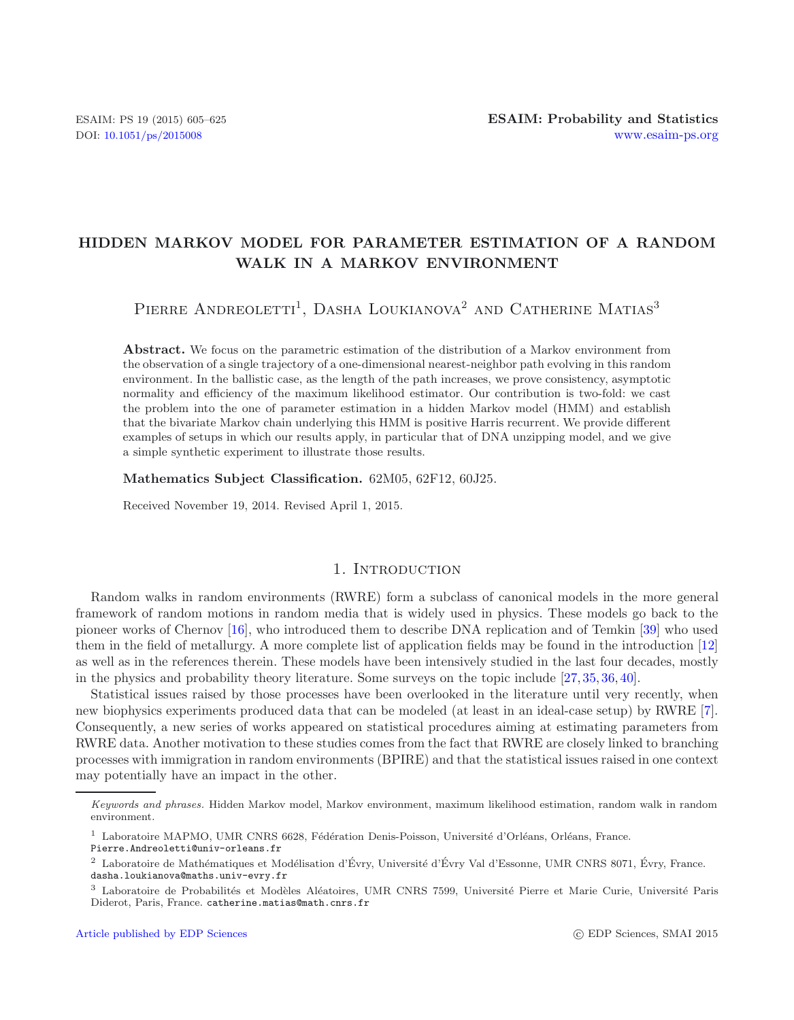# **HIDDEN MARKOV MODEL FOR PARAMETER ESTIMATION OF A RANDOM WALK IN A MARKOV ENVIRONMENT**

# PIERRE ANDREOLETTI<sup>1</sup>, DASHA LOUKIANOVA<sup>2</sup> AND CATHERINE MATIAS<sup>3</sup>

**Abstract.** We focus on the parametric estimation of the distribution of a Markov environment from the observation of a single trajectory of a one-dimensional nearest-neighbor path evolving in this random environment. In the ballistic case, as the length of the path increases, we prove consistency, asymptotic normality and efficiency of the maximum likelihood estimator. Our contribution is two-fold: we cast the problem into the one of parameter estimation in a hidden Markov model (HMM) and establish that the bivariate Markov chain underlying this HMM is positive Harris recurrent. We provide different examples of setups in which our results apply, in particular that of DNA unzipping model, and we give a simple synthetic experiment to illustrate those results.

**Mathematics Subject Classification.** 62M05, 62F12, 60J25.

Received November 19, 2014. Revised April 1, 2015.

# 1. INTRODUCTION

Random walks in random environments (RWRE) form a subclass of canonical models in the more general framework of random motions in random media that is widely used in physics. These models go back to the pioneer works of Chernov [\[16](#page-19-0)], who introduced them to describe DNA replication and of Temkin [\[39](#page-20-0)] who used them in the field of metallurgy. A more complete list of application fields may be found in the introduction [\[12\]](#page-19-1) as well as in the references therein. These models have been intensively studied in the last four decades, mostly in the physics and probability theory literature. Some surveys on the topic include [\[27,](#page-20-1) [35,](#page-20-2) [36,](#page-20-3) [40](#page-20-4)].

Statistical issues raised by those processes have been overlooked in the literature until very recently, when new biophysics experiments produced data that can be modeled (at least in an ideal-case setup) by RWRE [\[7](#page-19-2)]. Consequently, a new series of works appeared on statistical procedures aiming at estimating parameters from RWRE data. Another motivation to these studies comes from the fact that RWRE are closely linked to branching processes with immigration in random environments (BPIRE) and that the statistical issues raised in one context may potentially have an impact in the other.

*Keywords and phrases.* Hidden Markov model, Markov environment, maximum likelihood estimation, random walk in random environment.

<sup>&</sup>lt;sup>1</sup> Laboratoire MAPMO, UMR CNRS 6628, Fédération Denis-Poisson, Université d'Orléans, Orléans, France.

Pierre.Andreoletti@univ-orleans.fr

 $2$  Laboratoire de Mathématiques et Modélisation d'Évry, Université d'Évry Val d'Essonne, UMR CNRS 8071, Évry, France. dasha.loukianova@maths.univ-evry.fr

<sup>&</sup>lt;sup>3</sup> Laboratoire de Probabilités et Modèles Aléatoires, UMR CNRS 7599, Université Pierre et Marie Curie, Université Paris Diderot, Paris, France. catherine.matias@math.cnrs.fr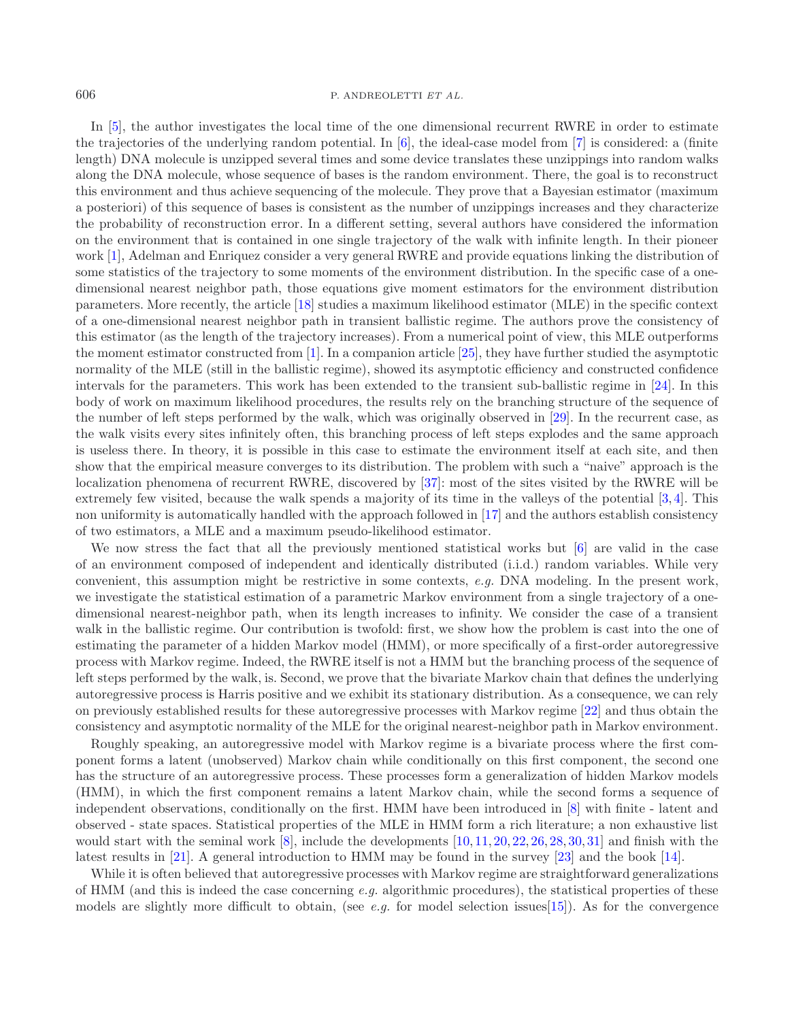In [\[5\]](#page-19-3), the author investigates the local time of the one dimensional recurrent RWRE in order to estimate the trajectories of the underlying random potential. In [\[6](#page-19-4)], the ideal-case model from [\[7\]](#page-19-2) is considered: a (finite length) DNA molecule is unzipped several times and some device translates these unzippings into random walks along the DNA molecule, whose sequence of bases is the random environment. There, the goal is to reconstruct this environment and thus achieve sequencing of the molecule. They prove that a Bayesian estimator (maximum a posteriori) of this sequence of bases is consistent as the number of unzippings increases and they characterize the probability of reconstruction error. In a different setting, several authors have considered the information on the environment that is contained in one single trajectory of the walk with infinite length. In their pioneer work [\[1](#page-19-5)], Adelman and Enriquez consider a very general RWRE and provide equations linking the distribution of some statistics of the trajectory to some moments of the environment distribution. In the specific case of a onedimensional nearest neighbor path, those equations give moment estimators for the environment distribution parameters. More recently, the article [\[18](#page-19-6)] studies a maximum likelihood estimator (MLE) in the specific context of a one-dimensional nearest neighbor path in transient ballistic regime. The authors prove the consistency of this estimator (as the length of the trajectory increases). From a numerical point of view, this MLE outperforms the moment estimator constructed from [\[1](#page-19-5)]. In a companion article [\[25](#page-19-7)], they have further studied the asymptotic normality of the MLE (still in the ballistic regime), showed its asymptotic efficiency and constructed confidence intervals for the parameters. This work has been extended to the transient sub-ballistic regime in [\[24\]](#page-19-8). In this body of work on maximum likelihood procedures, the results rely on the branching structure of the sequence of the number of left steps performed by the walk, which was originally observed in [\[29\]](#page-20-5). In the recurrent case, as the walk visits every sites infinitely often, this branching process of left steps explodes and the same approach is useless there. In theory, it is possible in this case to estimate the environment itself at each site, and then show that the empirical measure converges to its distribution. The problem with such a "naive" approach is the localization phenomena of recurrent RWRE, discovered by [\[37](#page-20-6)]: most of the sites visited by the RWRE will be extremely few visited, because the walk spends a majority of its time in the valleys of the potential [\[3](#page-19-9), [4](#page-19-10)]. This non uniformity is automatically handled with the approach followed in [\[17\]](#page-19-11) and the authors establish consistency of two estimators, a MLE and a maximum pseudo-likelihood estimator.

We now stress the fact that all the previously mentioned statistical works but [\[6\]](#page-19-4) are valid in the case of an environment composed of independent and identically distributed (i.i.d.) random variables. While very convenient, this assumption might be restrictive in some contexts, *e.g.* DNA modeling. In the present work, we investigate the statistical estimation of a parametric Markov environment from a single trajectory of a onedimensional nearest-neighbor path, when its length increases to infinity. We consider the case of a transient walk in the ballistic regime. Our contribution is twofold: first, we show how the problem is cast into the one of estimating the parameter of a hidden Markov model (HMM), or more specifically of a first-order autoregressive process with Markov regime. Indeed, the RWRE itself is not a HMM but the branching process of the sequence of left steps performed by the walk, is. Second, we prove that the bivariate Markov chain that defines the underlying autoregressive process is Harris positive and we exhibit its stationary distribution. As a consequence, we can rely on previously established results for these autoregressive processes with Markov regime [\[22](#page-19-12)] and thus obtain the consistency and asymptotic normality of the MLE for the original nearest-neighbor path in Markov environment.

Roughly speaking, an autoregressive model with Markov regime is a bivariate process where the first component forms a latent (unobserved) Markov chain while conditionally on this first component, the second one has the structure of an autoregressive process. These processes form a generalization of hidden Markov models (HMM), in which the first component remains a latent Markov chain, while the second forms a sequence of independent observations, conditionally on the first. HMM have been introduced in [\[8\]](#page-19-13) with finite - latent and observed - state spaces. Statistical properties of the MLE in HMM form a rich literature; a non exhaustive list would start with the seminal work  $[8]$ , include the developments  $[10, 11, 20, 22, 26, 28, 30, 31]$  $[10, 11, 20, 22, 26, 28, 30, 31]$  $[10, 11, 20, 22, 26, 28, 30, 31]$  $[10, 11, 20, 22, 26, 28, 30, 31]$  $[10, 11, 20, 22, 26, 28, 30, 31]$  $[10, 11, 20, 22, 26, 28, 30, 31]$  $[10, 11, 20, 22, 26, 28, 30, 31]$  $[10, 11, 20, 22, 26, 28, 30, 31]$  $[10, 11, 20, 22, 26, 28, 30, 31]$  $[10, 11, 20, 22, 26, 28, 30, 31]$  $[10, 11, 20, 22, 26, 28, 30, 31]$  $[10, 11, 20, 22, 26, 28, 30, 31]$  $[10, 11, 20, 22, 26, 28, 30, 31]$  $[10, 11, 20, 22, 26, 28, 30, 31]$  $[10, 11, 20, 22, 26, 28, 30, 31]$  $[10, 11, 20, 22, 26, 28, 30, 31]$  and finish with the latest results in [\[21\]](#page-19-17). A general introduction to HMM may be found in the survey [\[23](#page-19-18)] and the book [\[14](#page-19-19)].

While it is often believed that autoregressive processes with Markov regime are straightforward generalizations of HMM (and this is indeed the case concerning *e.g.* algorithmic procedures), the statistical properties of these models are slightly more difficult to obtain, (see *e.g.* for model selection issues[\[15\]](#page-19-20)). As for the convergence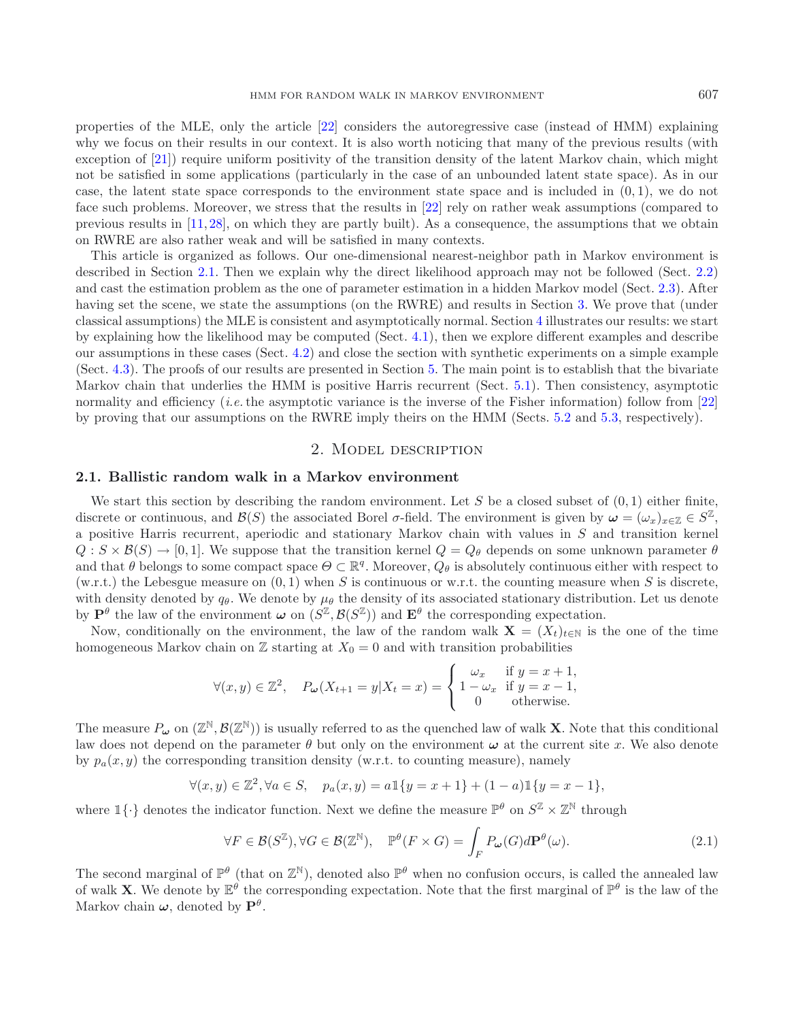properties of the MLE, only the article [\[22\]](#page-19-12) considers the autoregressive case (instead of HMM) explaining why we focus on their results in our context. It is also worth noticing that many of the previous results (with exception of [\[21\]](#page-19-17)) require uniform positivity of the transition density of the latent Markov chain, which might not be satisfied in some applications (particularly in the case of an unbounded latent state space). As in our case, the latent state space corresponds to the environment state space and is included in  $(0, 1)$ , we do not face such problems. Moreover, we stress that the results in [\[22\]](#page-19-12) rely on rather weak assumptions (compared to previous results in [\[11,](#page-19-15) [28\]](#page-20-8), on which they are partly built). As a consequence, the assumptions that we obtain

This article is organized as follows. Our one-dimensional nearest-neighbor path in Markov environment is described in Section [2.1.](#page-2-0) Then we explain why the direct likelihood approach may not be followed (Sect. [2.2\)](#page-3-0) and cast the estimation problem as the one of parameter estimation in a hidden Markov model (Sect. [2.3\)](#page-4-0). After having set the scene, we state the assumptions (on the RWRE) and results in Section [3.](#page-6-0) We prove that (under classical assumptions) the MLE is consistent and asymptotically normal. Section [4](#page-8-0) illustrates our results: we start by explaining how the likelihood may be computed (Sect. [4.1\)](#page-8-1), then we explore different examples and describe our assumptions in these cases (Sect. [4.2\)](#page-9-0) and close the section with synthetic experiments on a simple example (Sect. [4.3\)](#page-13-0). The proofs of our results are presented in Section [5.](#page-15-0) The main point is to establish that the bivariate Markov chain that underlies the HMM is positive Harris recurrent (Sect. [5.1\)](#page-15-1). Then consistency, asymptotic normality and efficiency *(i.e.* the asymptotic variance is the inverse of the Fisher information) follow from [\[22\]](#page-19-12) by proving that our assumptions on the RWRE imply theirs on the HMM (Sects. [5.2](#page-17-0) and [5.3,](#page-19-21) respectively).

# <span id="page-2-1"></span>2. Model description

# <span id="page-2-0"></span>**2.1. Ballistic random walk in a Markov environment**

on RWRE are also rather weak and will be satisfied in many contexts.

We start this section by describing the random environment. Let S be a closed subset of  $(0, 1)$  either finite, discrete or continuous, and  $\mathcal{B}(S)$  the associated Borel  $\sigma$ -field. The environment is given by  $\omega = (\omega_x)_{x \in \mathbb{Z}} \in S^{\mathbb{Z}}$ , a positive Harris recurrent, aperiodic and stationary Markov chain with values in S and transition kernel  $Q: S \times \mathcal{B}(S) \to [0, 1].$  We suppose that the transition kernel  $Q = Q_{\theta}$  depends on some unknown parameter  $\theta$ and that  $\theta$  belongs to some compact space  $\Theta \subset \mathbb{R}^q$ . Moreover,  $Q_\theta$  is absolutely continuous either with respect to (w.r.t.) the Lebesgue measure on  $(0, 1)$  when S is continuous or w.r.t. the counting measure when S is discrete, with density denoted by  $q_{\theta}$ . We denote by  $\mu_{\theta}$  the density of its associated stationary distribution. Let us denote by  $\mathbf{P}^{\theta}$  the law of the environment  $\boldsymbol{\omega}$  on  $(S^{\mathbb{Z}}, \mathcal{B}(S^{\mathbb{Z}}))$  and  $\mathbf{E}^{\theta}$  the corresponding expectation.

Now, conditionally on the environment, the law of the random walk  $\mathbf{X} = (X_t)_{t\in\mathbb{N}}$  is the one of the time homogeneous Markov chain on  $\mathbb Z$  starting at  $X_0 = 0$  and with transition probabilities

$$
\forall (x, y) \in \mathbb{Z}^2, \quad P_{\omega}(X_{t+1} = y | X_t = x) = \begin{cases} \omega_x & \text{if } y = x + 1, \\ 1 - \omega_x & \text{if } y = x - 1, \\ 0 & \text{otherwise.} \end{cases}
$$

The measure  $P_\omega$  on  $(\mathbb{Z}^{\mathbb{N}}, \mathcal{B}(\mathbb{Z}^{\mathbb{N}}))$  is usually referred to as the quenched law of walk **X**. Note that this conditional law does not depend on the parameter  $\theta$  but only on the environment  $\omega$  at the current site x. We also denote by  $p_a(x, y)$  the corresponding transition density (w.r.t. to counting measure), namely

$$
\forall (x,y)\in\mathbb{Z}^2, \forall a\in S, \quad p_a(x,y)=a\mathbbm{1}\{y=x+1\}+(1-a)\mathbbm{1}\{y=x-1\},
$$

where  $\mathbb{I}\{\cdot\}$  denotes the indicator function. Next we define the measure  $\mathbb{P}^{\theta}$  on  $S^{\mathbb{Z}} \times \mathbb{Z}^{\mathbb{N}}$  through

$$
\forall F \in \mathcal{B}(S^{\mathbb{Z}}), \forall G \in \mathcal{B}(\mathbb{Z}^{\mathbb{N}}), \quad \mathbb{P}^{\theta}(F \times G) = \int_{F} P_{\omega}(G) d\mathbf{P}^{\theta}(\omega). \tag{2.1}
$$

The second marginal of  $\mathbb{P}^{\theta}$  (that on  $\mathbb{Z}^{\mathbb{N}}$ ), denoted also  $\mathbb{P}^{\theta}$  when no confusion occurs, is called the annealed law of walk **X**. We denote by  $\mathbb{E}^{\theta}$  the corresponding expectation. Note that the first marginal of  $\mathbb{P}^{\theta}$  is the law of the Markov chain  $\boldsymbol{\omega}$ , denoted by  $\mathbf{P}^{\theta}$ .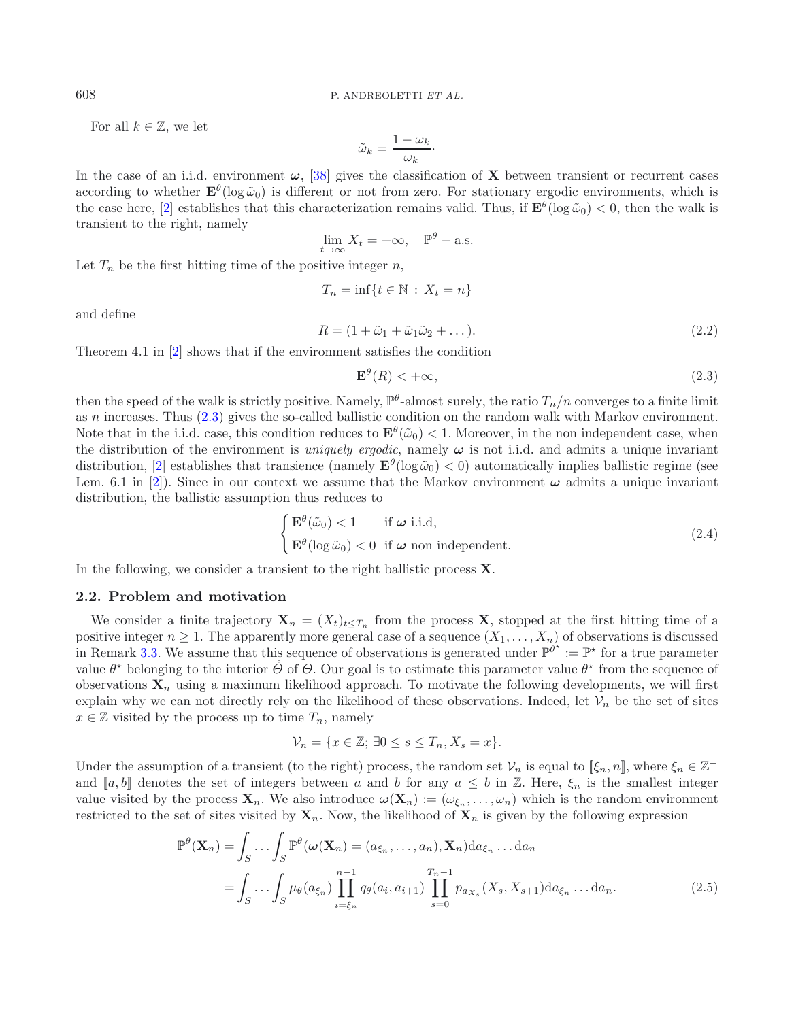For all  $k \in \mathbb{Z}$ , we let

<span id="page-3-1"></span>
$$
\tilde{\omega}_k = \frac{1 - \omega_k}{\omega_k}.
$$

In the case of an i.i.d. environment  $\omega$ , [\[38\]](#page-20-11) gives the classification of **X** between transient or recurrent cases according to whether  $\mathbf{E}^{\theta}(\log \tilde{\omega}_0)$  is different or not from zero. For stationary ergodic environments, which is the case here, [\[2\]](#page-19-22) establishes that this characterization remains valid. Thus, if  $\mathbf{E}^{\theta}(\log \tilde{\omega}_0) < 0$ , then the walk is transient to the right, namely

$$
\lim_{t \to \infty} X_t = +\infty, \quad \mathbb{P}^{\theta} - \text{a.s.}
$$

Let  $T_n$  be the first hitting time of the positive integer n,

<span id="page-3-4"></span>
$$
T_n = \inf\{t \in \mathbb{N} : X_t = n\}
$$

and define

$$
R = (1 + \tilde{\omega}_1 + \tilde{\omega}_1 \tilde{\omega}_2 + \dots). \tag{2.2}
$$

Theorem 4.1 in [\[2](#page-19-22)] shows that if the environment satisfies the condition

$$
\mathbf{E}^{\theta}(R) < +\infty,\tag{2.3}
$$

then the speed of the walk is strictly positive. Namely,  $\mathbb{P}^{\theta}$ -almost surely, the ratio  $T_n/n$  converges to a finite limit as  $n$  increases. Thus  $(2.3)$  gives the so-called ballistic condition on the random walk with Markov environment. Note that in the i.i.d. case, this condition reduces to  $\mathbf{E}^{\theta}(\tilde{\omega}_0) < 1$ . Moreover, in the non independent case, when the distribution of the environment is *uniquely ergodic*, namely *ω* is not i.i.d. and admits a unique invariant distribution, [\[2\]](#page-19-22) establishes that transience (namely  $\mathbf{E}^{\theta}(\log \tilde{\omega}_0) < 0$ ) automatically implies ballistic regime (see Lem. 6.1 in [\[2\]](#page-19-22)). Since in our context we assume that the Markov environment *ω* admits a unique invariant distribution, the ballistic assumption thus reduces to

$$
\begin{cases} \mathbf{E}^{\theta}(\tilde{\omega}_0) < 1 \quad \text{if } \boldsymbol{\omega} \text{ i.i.d,} \\ \mathbf{E}^{\theta}(\log \tilde{\omega}_0) < 0 \quad \text{if } \boldsymbol{\omega} \text{ non independent.} \end{cases} \tag{2.4}
$$

<span id="page-3-0"></span>In the following, we consider a transient to the right ballistic process **X**.

#### **2.2. Problem and motivation**

We consider a finite trajectory  $\mathbf{X}_n = (X_t)_{t \leq T_n}$  from the process **X**, stopped at the first hitting time of a positive integer  $n \geq 1$ . The apparently more general case of a sequence  $(X_1, \ldots, X_n)$  of observations is discussed in Remark [3.3.](#page-6-1) We assume that this sequence of observations is generated under  $\mathbb{P}^{\theta^*} := \mathbb{P}^*$  for a true parameter value  $\theta^*$  belonging to the interior  $\Theta$  of  $\Theta$ . Our goal is to estimate this parameter value  $\theta^*$  from the sequence of observations  $\mathbf{X}_n$  using a maximum likelihood approach. To motivate the following developments, we will first explain why we can not directly rely on the likelihood of these observations. Indeed, let  $\mathcal{V}_n$  be the set of sites  $x \in \mathbb{Z}$  visited by the process up to time  $T_n$ , namely

<span id="page-3-2"></span>
$$
\mathcal{V}_n = \{ x \in \mathbb{Z}; \, \exists 0 \le s \le T_n, X_s = x \}.
$$

Under the assumption of a transient (to the right) process, the random set  $\mathcal{V}_n$  is equal to  $[\xi_n, n]$ , where  $\xi_n \in \mathbb{Z}^$ and [a, b] denotes the set of integers between a and b for any  $a \leq b$  in  $\mathbb{Z}$ . Here,  $\xi_n$  is the smallest integer value visited by the process  $\mathbf{X}_n$ . We also introduce  $\boldsymbol{\omega}(\mathbf{X}_n) := (\omega_{\xi_n}, \dots, \omega_n)$  which is the random environment restricted to the set of sites visited by  $\mathbf{X}_n$ . Now, the likelihood of  $\mathbf{X}_n$  is given by the following expression

$$
\mathbb{P}^{\theta}(\mathbf{X}_n) = \int_S \dots \int_S \mathbb{P}^{\theta}(\omega(\mathbf{X}_n) = (a_{\xi_n}, \dots, a_n), \mathbf{X}_n) da_{\xi_n} \dots da_n
$$

$$
= \int_S \dots \int_S \mu_{\theta}(a_{\xi_n}) \prod_{i=\xi_n}^{n-1} q_{\theta}(a_i, a_{i+1}) \prod_{s=0}^{T_n-1} p_{a_{X_s}}(X_s, X_{s+1}) da_{\xi_n} \dots da_n.
$$
(2.5)

<span id="page-3-3"></span>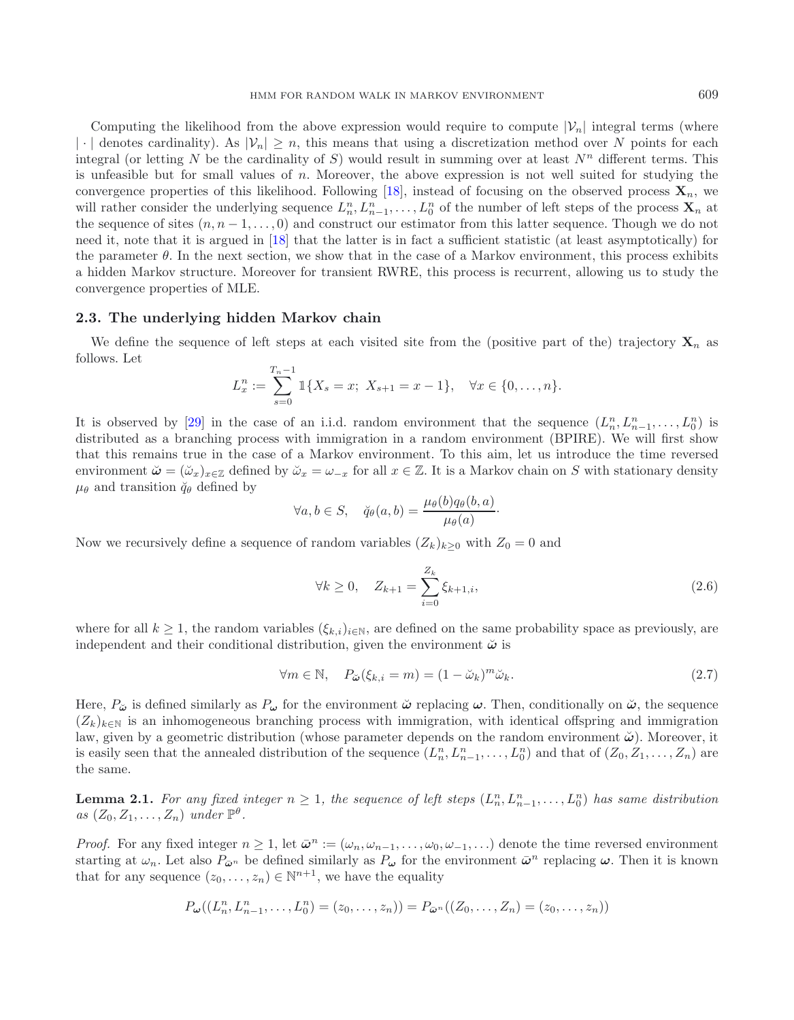Computing the likelihood from the above expression would require to compute  $|\mathcal{V}_n|$  integral terms (where |·| denotes cardinality). As  $|\mathcal{V}_n| \geq n$ , this means that using a discretization method over N points for each integral (or letting N be the cardinality of S) would result in summing over at least  $N^n$  different terms. This is unfeasible but for small values of  $n$ . Moreover, the above expression is not well suited for studying the convergence properties of this likelihood. Following [\[18\]](#page-19-6), instead of focusing on the observed process  $\mathbf{X}_n$ , we will rather consider the underlying sequence  $L_n^n, L_{n-1}^n, \ldots, L_0^n$  of the number of left steps of the process  $\mathbf{X}_n$  at the sequence of sites  $(n, n-1, \ldots, 0)$  and construct our estimator from this latter sequence. Though we do not need it, note that it is argued in [\[18](#page-19-6)] that the latter is in fact a sufficient statistic (at least asymptotically) for the parameter  $\theta$ . In the next section, we show that in the case of a Markov environment, this process exhibits a hidden Markov structure. Moreover for transient RWRE, this process is recurrent, allowing us to study the convergence properties of MLE.

### <span id="page-4-0"></span>**2.3. The underlying hidden Markov chain**

We define the sequence of left steps at each visited site from the (positive part of the) trajectory  $\mathbf{X}_n$  as follows. Let

<span id="page-4-1"></span>
$$
L_x^n := \sum_{s=0}^{T_n-1} \mathbb{1}\{X_s = x; \ X_{s+1} = x - 1\}, \quad \forall x \in \{0, \dots, n\}.
$$

It is observed by [\[29\]](#page-20-5) in the case of an i.i.d. random environment that the sequence  $(L_n^n, L_{n-1}^n, \ldots, L_0^n)$  is distributed as a branching process with immigration in a random environment (BPIRE). We will first show that this remains true in the case of a Markov environment. To this aim, let us introduce the time reversed environment  $\check{\omega} = (\check{\omega}_x)_{x \in \mathbb{Z}}$  defined by  $\check{\omega}_x = \omega_{-x}$  for all  $x \in \mathbb{Z}$ . It is a Markov chain on S with stationary density  $\mu_{\theta}$  and transition  $\check{q}_{\theta}$  defined by

<span id="page-4-2"></span>
$$
\forall a, b \in S, \quad \breve{q}_{\theta}(a, b) = \frac{\mu_{\theta}(b)q_{\theta}(b, a)}{\mu_{\theta}(a)}.
$$

Now we recursively define a sequence of random variables  $(Z_k)_{k\geq 0}$  with  $Z_0 = 0$  and

$$
\forall k \ge 0, \quad Z_{k+1} = \sum_{i=0}^{Z_k} \xi_{k+1,i}, \tag{2.6}
$$

where for all  $k \geq 1$ , the random variables  $(\xi_{k,i})_{i \in \mathbb{N}}$ , are defined on the same probability space as previously, are independent and their conditional distribution, given the environment  $\ddot{\omega}$  is

$$
\forall m \in \mathbb{N}, \quad P_{\tilde{\boldsymbol{\omega}}}(\xi_{k,i} = m) = (1 - \tilde{\omega}_k)^m \tilde{\omega}_k. \tag{2.7}
$$

Here,  $P_{\omega}$  is defined similarly as  $P_{\omega}$  for the environment  $\omega$  replacing  $\omega$ . Then, conditionally on  $\omega$ , the sequence  $(Z_k)_{k\in\mathbb{N}}$  is an inhomogeneous branching process with immigration, with identical offspring and immigration law, given by a geometric distribution (whose parameter depends on the random environment *ω*˘ ). Moreover, it is easily seen that the annealed distribution of the sequence  $(L_n^n, L_{n-1}^n, \ldots, L_0^n)$  and that of  $(Z_0, Z_1, \ldots, Z_n)$  are the same.

<span id="page-4-3"></span>**Lemma 2.1.** For any fixed integer  $n \geq 1$ , the sequence of left steps  $(L_n^n, L_{n-1}^n, \ldots, L_0^n)$  has same distribution  $as (Z_0, Z_1, \ldots, Z_n)$  *under*  $\mathbb{P}^{\theta}$ .

*Proof.* For any fixed integer  $n \geq 1$ , let  $\bar{\omega}^n := (\omega_n, \omega_{n-1}, \ldots, \omega_0, \omega_{-1}, \ldots)$  denote the time reversed environment starting at  $\omega_n$ . Let also  $P_{\bar{\omega}^n}$  be defined similarly as  $P_{\omega}$  for the environment  $\bar{\omega}^n$  replacing  $\omega$ . Then it is known that for any sequence  $(z_0,\ldots,z_n) \in \mathbb{N}^{n+1}$ , we have the equality

$$
P_{\boldsymbol{\omega}}((L_n^n, L_{n-1}^n, \dots, L_0^n) = (z_0, \dots, z_n)) = P_{\bar{\boldsymbol{\omega}}^n}((Z_0, \dots, Z_n) = (z_0, \dots, z_n))
$$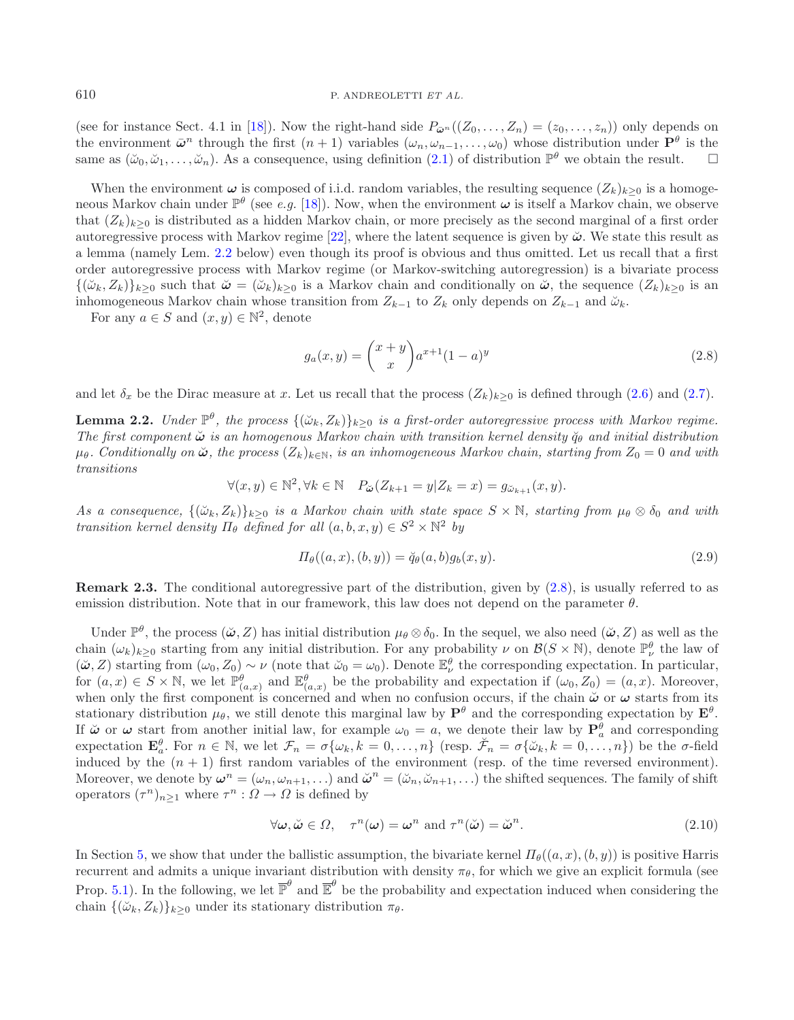<span id="page-5-1"></span>(see for instance Sect. 4.1 in [\[18\]](#page-19-6)). Now the right-hand side  $P_{\bar{\boldsymbol{\omega}}^n}((Z_0,\ldots,Z_n)=(z_0,\ldots,z_n))$  only depends on the environment  $\bar{\omega}^n$  through the first  $(n+1)$  variables  $(\omega_n, \omega_{n-1}, \ldots, \omega_0)$  whose distribution under  $\mathbf{P}^\theta$  is the same as  $(\tilde{\omega}_0, \tilde{\omega}_1, \ldots, \tilde{\omega}_n)$ . As a consequence, using definition [\(2.1\)](#page-2-1) of distribution  $\mathbb{P}^{\theta}$  we obtain the result.

When the environment  $\omega$  is composed of i.i.d. random variables, the resulting sequence  $(Z_k)_{k\geq 0}$  is a homogeneous Markov chain under  $\mathbb{P}^{\theta}$  (see *e.g.* [\[18](#page-19-6)]). Now, when the environment  $\omega$  is itself a Markov chain, we observe that  $(Z_k)_{k\geq 0}$  is distributed as a hidden Markov chain, or more precisely as the second marginal of a first order autoregressive process with Markov regime [\[22\]](#page-19-12), where the latent sequence is given by  $\ddot{\omega}$ . We state this result as a lemma (namely Lem. [2.2](#page-5-0) below) even though its proof is obvious and thus omitted. Let us recall that a first order autoregressive process with Markov regime (or Markov-switching autoregression) is a bivariate process  $\{(\check{\omega}_k, Z_k)\}_{k>0}$  such that  $\check{\omega} = (\check{\omega}_k)_{k>0}$  is a Markov chain and conditionally on  $\check{\omega}$ , the sequence  $(Z_k)_{k>0}$  is an inhomogeneous Markov chain whose transition from  $Z_{k-1}$  to  $Z_k$  only depends on  $Z_{k-1}$  and  $\tilde{\omega}_k$ .

For any  $a \in S$  and  $(x, y) \in \mathbb{N}^2$ , denote

<span id="page-5-2"></span><span id="page-5-0"></span>
$$
g_a(x,y) = {x+y \choose x} a^{x+1} (1-a)^y
$$
\n(2.8)

and let  $\delta_x$  be the Dirac measure at x. Let us recall that the process  $(Z_k)_{k\geq 0}$  is defined through [\(2.6\)](#page-4-1) and [\(2.7\)](#page-4-2).

**Lemma 2.2.** *Under*  $\mathbb{P}^{\theta}$ *, the process*  $\{\langle \breve{\omega}_k, Z_k \rangle\}_{k>0}$  *is a first-order autoregressive process with Markov regime. The first component*  $\ddot{\omega}$  *is an homogenous Markov chain with transition kernel density*  $\ddot{q}_{\theta}$  *and initial distribution*  $\mu_{\theta}$ . Conditionally on  $\ddot{\omega}$ , the process  $(Z_k)_{k\in\mathbb{N}}$ , is an inhomogeneous Markov chain, starting from  $Z_0 = 0$  and with *transitions*

$$
\forall (x, y) \in \mathbb{N}^2, \forall k \in \mathbb{N} \quad P_{\breve{\boldsymbol{\omega}}}(Z_{k+1} = y | Z_k = x) = g_{\breve{\boldsymbol{\omega}}_{k+1}}(x, y).
$$

*As a consequence,*  $\{(\check{\omega}_k, Z_k)\}_{k\geq 0}$  *is a Markov chain with state space*  $S \times \mathbb{N}$ *, starting from*  $\mu_\theta \otimes \delta_0$  *and with transition kernel density*  $\Pi_{\theta}$  *defined for all*  $(a, b, x, y) \in S^2 \times \mathbb{N}^2$  *by* 

$$
\Pi_{\theta}((a, x), (b, y)) = \breve{q}_{\theta}(a, b)g_{b}(x, y).
$$
\n(2.9)

**Remark 2.3.** The conditional autoregressive part of the distribution, given by  $(2.8)$ , is usually referred to as emission distribution. Note that in our framework, this law does not depend on the parameter  $\theta$ .

Under  $\mathbb{P}^{\theta}$ , the process  $(\check{\omega}, Z)$  has initial distribution  $\mu_{\theta} \otimes \delta_0$ . In the sequel, we also need  $(\check{\omega}, Z)$  as well as the chain  $(\omega_k)_{k\geq 0}$  starting from any initial distribution. For any probability  $\nu$  on  $\mathcal{B}(S\times\mathbb{N})$ , denote  $\mathbb{P}^{\theta}_{\nu}$  the law of  $(\tilde{\omega}, Z)$  starting from  $(\omega_0, Z_0) \sim \nu$  (note that  $\tilde{\omega}_0 = \omega_0$ ). Denote  $\mathbb{E}_{\nu}^{\theta}$  the corresponding expectation. In particular, for  $(a, x) \in S \times \mathbb{N}$ , we let  $\mathbb{P}^{\theta}_{(a,x)}$  and  $\mathbb{E}^{\theta}_{(a,x)}$  be the probability and expectation if  $(\omega_0, Z_0) = (a, x)$ . Moreover, when only the first component is concerned and when no confusion occurs, if the chain  $\ddot{\omega}$  or  $\omega$  starts from its stationary distribution  $\mu_{\theta}$ , we still denote this marginal law by  $\mathbf{P}^{\theta}$  and the corresponding expectation by  $\mathbf{E}^{\theta}$ . If  $\ddot{\omega}$  or  $\omega$  start from another initial law, for example  $\omega_0 = a$ , we denote their law by  $\mathbf{P}_a^{\theta}$  and corresponding expectation  $\mathbf{E}_{a}^{\theta}$ . For  $n \in \mathbb{N}$ , we let  $\mathcal{F}_n = \sigma\{\omega_k, k = 0, \ldots, n\}$  (resp.  $\breve{\mathcal{F}}_n = \sigma\{\breve{\omega}_k, k = 0, \ldots, n\}$ ) be the  $\sigma$ -field induced by the  $(n + 1)$  first random variables of the environment (resp. of the time reversed environment). Moreover, we denote by  $\omega^n = (\omega_n, \omega_{n+1}, \ldots)$  and  $\check{\omega}^n = (\check{\omega}_n, \check{\omega}_{n+1}, \ldots)$  the shifted sequences. The family of shift operators  $(\tau^n)_{n\geq 1}$  where  $\tau^n : \Omega \to \Omega$  is defined by

$$
\forall \omega, \check{\omega} \in \Omega, \quad \tau^n(\omega) = \omega^n \text{ and } \tau^n(\check{\omega}) = \check{\omega}^n. \tag{2.10}
$$

In Section [5,](#page-15-0) we show that under the ballistic assumption, the bivariate kernel  $\Pi_{\theta}((a, x), (b, y))$  is positive Harris recurrent and admits a unique invariant distribution with density  $\pi_{\theta}$ , for which we give an explicit formula (see Prop. [5.1\)](#page-15-2). In the following, we let  $\overline{\mathbb{P}}^{\theta}$  and  $\overline{\mathbb{E}}^{\theta}$  be the probability and expectation induced when considering the chain  $\{(\check{\omega}_k, Z_k)\}_{k>0}$  under its stationary distribution  $\pi_{\theta}$ .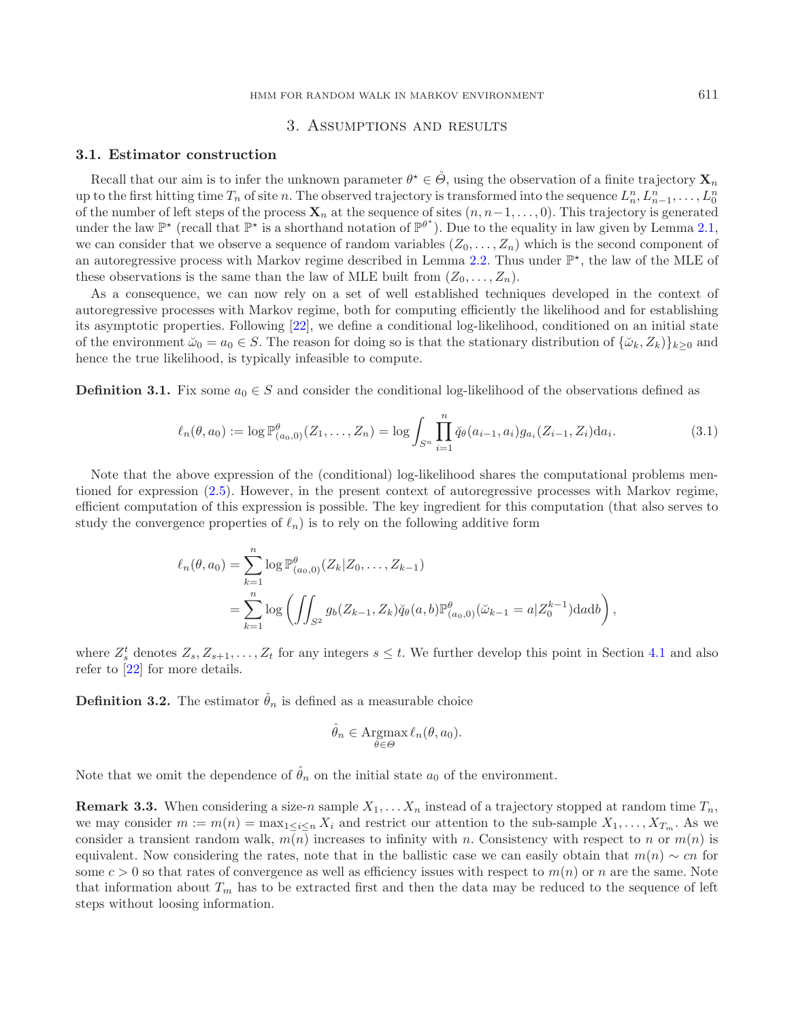# 3. Assumptions and results

#### <span id="page-6-0"></span>**3.1. Estimator construction**

Recall that our aim is to infer the unknown parameter  $\theta^* \in \mathcal{O}$ , using the observation of a finite trajectory  $\mathbf{X}_n$ up to the first hitting time  $T_n$  of site n. The observed trajectory is transformed into the sequence  $L_n^n, L_{n-1}^n, \ldots, L_0^n$ of the number of left steps of the process  $\mathbf{X}_n$  at the sequence of sites  $(n, n-1, \ldots, 0)$ . This trajectory is generated under the law  $\mathbb{P}^{\star}$  (recall that  $\mathbb{P}^{\star}$  is a shorthand notation of  $\mathbb{P}^{\theta^{\star}}$ ). Due to the equality in law given by Lemma [2.1,](#page-4-3) we can consider that we observe a sequence of random variables  $(Z_0, \ldots, Z_n)$  which is the second component of an autoregressive process with Markov regime described in Lemma [2.2.](#page-5-0) Thus under  $\mathbb{P}^*$ , the law of the MLE of these observations is the same than the law of MLE built from  $(Z_0, \ldots, Z_n)$ .

As a consequence, we can now rely on a set of well established techniques developed in the context of autoregressive processes with Markov regime, both for computing efficiently the likelihood and for establishing its asymptotic properties. Following [\[22\]](#page-19-12), we define a conditional log-likelihood, conditioned on an initial state of the environment  $\check{\omega}_0 = a_0 \in S$ . The reason for doing so is that the stationary distribution of  $\{\check{\omega}_k, Z_k\}_{k>0}$  and hence the true likelihood, is typically infeasible to compute.

**Definition 3.1.** Fix some  $a_0 \in S$  and consider the conditional log-likelihood of the observations defined as

$$
\ell_n(\theta, a_0) := \log \mathbb{P}^{\theta}_{(a_0, 0)}(Z_1, \dots, Z_n) = \log \int_{S^n} \prod_{i=1}^n \breve{q}_{\theta}(a_{i-1}, a_i) g_{a_i}(Z_{i-1}, Z_i) da_i.
$$
 (3.1)

Note that the above expression of the (conditional) log-likelihood shares the computational problems mentioned for expression [\(2.5\)](#page-3-2). However, in the present context of autoregressive processes with Markov regime, efficient computation of this expression is possible. The key ingredient for this computation (that also serves to study the convergence properties of  $\ell_n$ ) is to rely on the following additive form

$$
\ell_n(\theta, a_0) = \sum_{k=1}^n \log \mathbb{P}^{\theta}_{(a_0, 0)}(Z_k | Z_0, \dots, Z_{k-1})
$$
  
= 
$$
\sum_{k=1}^n \log \left( \iint_{S^2} g_b(Z_{k-1}, Z_k) \breve{q}_{\theta}(a, b) \mathbb{P}^{\theta}_{(a_0, 0)}(\breve{\omega}_{k-1} = a | Z_0^{k-1}) \, \mathrm{d}a \mathrm{d}b \right),
$$

where  $Z_s^t$  denotes  $Z_s, Z_{s+1}, \ldots, Z_t$  for any integers  $s \leq t$ . We further develop this point in Section [4.1](#page-8-1) and also refer to [\[22\]](#page-19-12) for more details.

**Definition 3.2.** The estimator  $\hat{\theta}_n$  is defined as a measurable choice

$$
\hat{\theta}_n \in \operatorname*{Argmax}_{\theta \in \Theta} \ell_n(\theta, a_0).
$$

<span id="page-6-1"></span>Note that we omit the dependence of  $\hat{\theta}_n$  on the initial state  $a_0$  of the environment.

**Remark 3.3.** When considering a size-n sample  $X_1, \ldots, X_n$  instead of a trajectory stopped at random time  $T_n$ , we may consider  $m := m(n) = \max_{1 \le i \le n} X_i$  and restrict our attention to the sub-sample  $X_1, \ldots, X_{T_m}$ . As we consider a transient random walk,  $m(n)$  increases to infinity with n. Consistency with respect to n or  $m(n)$  is equivalent. Now considering the rates, note that in the ballistic case we can easily obtain that  $m(n) \sim cn$  for some  $c > 0$  so that rates of convergence as well as efficiency issues with respect to  $m(n)$  or n are the same. Note that information about  $T_m$  has to be extracted first and then the data may be reduced to the sequence of left steps without loosing information.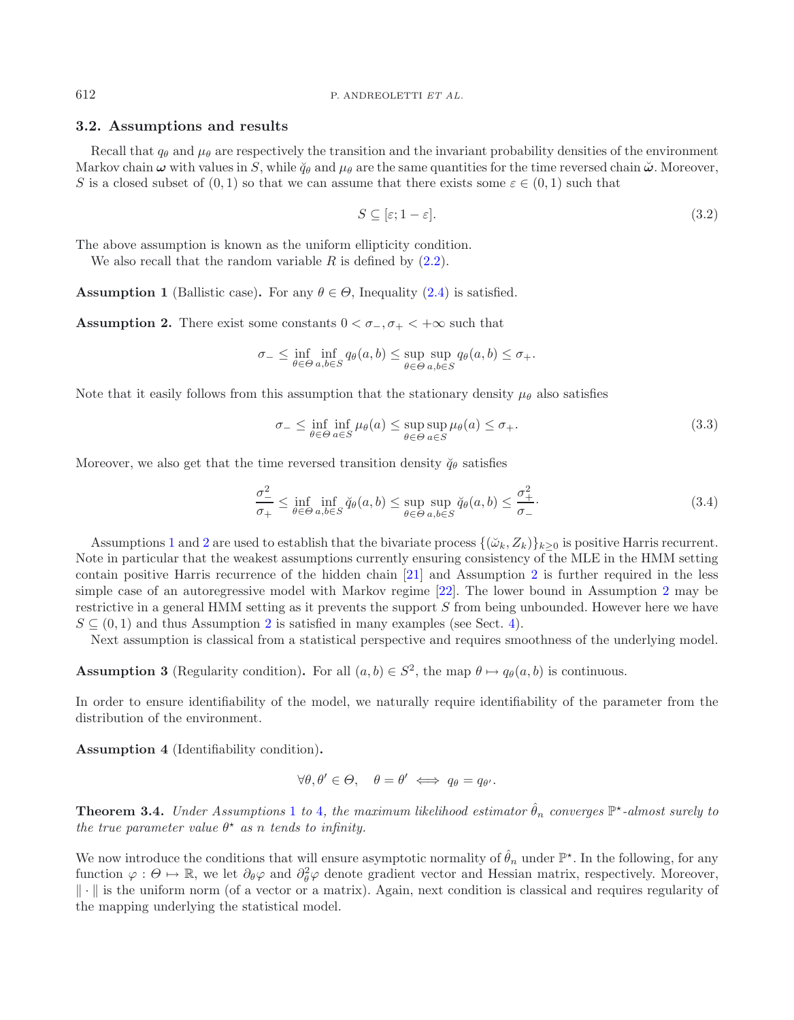# **3.2. Assumptions and results**

Recall that  $q_{\theta}$  and  $\mu_{\theta}$  are respectively the transition and the invariant probability densities of the environment Markov chain  $\omega$  with values in S, while  $\breve{q}_{\theta}$  and  $\mu_{\theta}$  are the same quantities for the time reversed chain  $\breve{\omega}$ . Moreover, S is a closed subset of  $(0, 1)$  so that we can assume that there exists some  $\varepsilon \in (0, 1)$  such that

<span id="page-7-8"></span><span id="page-7-7"></span><span id="page-7-6"></span>
$$
S \subseteq [\varepsilon; 1 - \varepsilon].\tag{3.2}
$$

<span id="page-7-0"></span>The above assumption is known as the uniform ellipticity condition.

We also recall that the random variable  $R$  is defined by  $(2.2)$ .

<span id="page-7-1"></span>**Assumption 1** (Ballistic case). For any  $\theta \in \Theta$ , Inequality [\(2.4\)](#page-3-4) is satisfied.

**Assumption 2.** There exist some constants  $0 < \sigma_-, \sigma_+ < +\infty$  such that

$$
\sigma_- \le \inf_{\theta \in \Theta} \inf_{a,b \in S} q_\theta(a,b) \le \sup_{\theta \in \Theta} \sup_{a,b \in S} q_\theta(a,b) \le \sigma_+.
$$

Note that it easily follows from this assumption that the stationary density  $\mu_{\theta}$  also satisfies

$$
\sigma_{-} \le \inf_{\theta \in \Theta} \inf_{a \in S} \mu_{\theta}(a) \le \sup_{\theta \in \Theta} \sup_{a \in S} \mu_{\theta}(a) \le \sigma_{+}.
$$
\n(3.3)

Moreover, we also get that the time reversed transition density  $\ddot{q}_{\theta}$  satisfies

$$
\frac{\sigma^2}{\sigma_+} \le \inf_{\theta \in \Theta} \inf_{a,b \in S} \breve{q}_{\theta}(a,b) \le \sup_{\theta \in \Theta} \sup_{a,b \in S} \breve{q}_{\theta}(a,b) \le \frac{\sigma^2_+}{\sigma_-}.
$$
\n(3.4)

Assumptions [1](#page-7-0) and [2](#page-7-1) are used to establish that the bivariate process  $\{(\check{\omega}_k, Z_k)\}_{k>0}$  is positive Harris recurrent. Note in particular that the weakest assumptions currently ensuring consistency of the MLE in the HMM setting contain positive Harris recurrence of the hidden chain [\[21\]](#page-19-17) and Assumption [2](#page-7-1) is further required in the less simple case of an autoregressive model with Markov regime [\[22](#page-19-12)]. The lower bound in Assumption [2](#page-7-1) may be restrictive in a general HMM setting as it prevents the support S from being unbounded. However here we have  $S \subseteq (0,1)$  and thus Assumption [2](#page-7-1) is satisfied in many examples (see Sect. [4\)](#page-8-0).

Next assumption is classical from a statistical perspective and requires smoothness of the underlying model.

<span id="page-7-4"></span>**Assumption 3** (Regularity condition). For all  $(a, b) \in S^2$ , the map  $\theta \mapsto q_\theta(a, b)$  is continuous.

<span id="page-7-2"></span>In order to ensure identifiability of the model, we naturally require identifiability of the parameter from the distribution of the environment.

**Assumption 4** (Identifiability condition)**.**

$$
\forall \theta, \theta' \in \Theta, \quad \theta = \theta' \iff q_{\theta} = q_{\theta'}.
$$

<span id="page-7-5"></span>**Theorem 3.[4](#page-7-2).** *Under Assumptions* [1](#page-7-0) *to* 4*, the maximum likelihood estimator*  $\hat{\theta}_n$  *converges*  $\mathbb{P}^*$ *-almost surely to the true parameter value*  $\theta^*$  *as n tends to infinity.* 

<span id="page-7-3"></span>We now introduce the conditions that will ensure asymptotic normality of  $\hat{\theta}_n$  under  $\mathbb{P}^*$ . In the following, for any function  $\varphi : \Theta \mapsto \mathbb{R}$ , we let  $\partial_{\theta} \varphi$  and  $\partial_{\theta}^{2} \varphi$  denote gradient vector and Hessian matrix, respectively. Moreover,  $\|\cdot\|$  is the uniform norm (of a vector or a matrix). Again, next condition is classical and requires regularity of the mapping underlying the statistical model.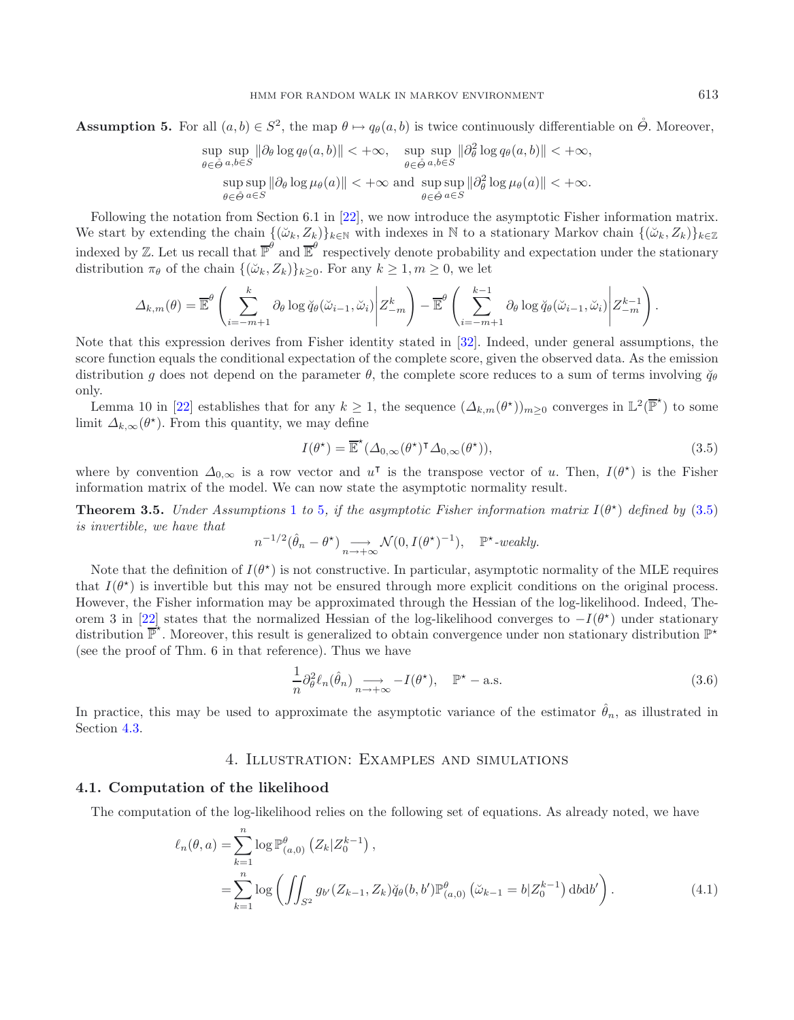**Assumption 5.** For all  $(a, b) \in S^2$ , the map  $\theta \mapsto q_\theta(a, b)$  is twice continuously differentiable on  $\hat{\Theta}$ . Moreover,

<span id="page-8-2"></span>
$$
\sup_{\theta \in \hat{\Theta}} \sup_{a,b \in S} \|\partial_{\theta} \log q_{\theta}(a,b)\| < +\infty, \quad \sup_{\theta \in \hat{\Theta}} \sup_{a,b \in S} \|\partial_{\theta}^{2} \log q_{\theta}(a,b)\| < +\infty, \sup_{\theta \in \hat{\Theta}} \sup_{a \in S} \|\partial_{\theta} \log \mu_{\theta}(a)\| < +\infty \text{ and } \sup_{\theta \in \hat{\Theta}} \sup_{a \in S} \|\partial_{\theta}^{2} \log \mu_{\theta}(a)\| < +\infty.
$$

Following the notation from Section 6.1 in [\[22](#page-19-12)], we now introduce the asymptotic Fisher information matrix. We start by extending the chain  $\{(\check{\omega}_k, Z_k)\}_{k\in\mathbb{N}}$  with indexes in N to a stationary Markov chain  $\{(\check{\omega}_k, Z_k)\}_{k\in\mathbb{Z}}$ indexed by Z. Let us recall that  $\overline{\mathbb{P}}^{\theta}$  and  $\overline{\mathbb{E}}^{\theta}$  respectively denote probability and expectation under the stationary distribution  $\pi_{\theta}$  of the chain  $\{(\check{\omega}_k, Z_k)\}_{k>0}$ . For any  $k \geq 1, m \geq 0$ , we let

$$
\Delta_{k,m}(\theta) = \overline{\mathbb{E}}^{\theta} \left( \sum_{i=-m+1}^{k} \partial_{\theta} \log \breve{q}_{\theta}(\breve{\omega}_{i-1}, \breve{\omega}_{i}) \middle| Z^{k}_{-m} \right) - \overline{\mathbb{E}}^{\theta} \left( \sum_{i=-m+1}^{k-1} \partial_{\theta} \log \breve{q}_{\theta}(\breve{\omega}_{i-1}, \breve{\omega}_{i}) \middle| Z^{k-1}_{-m} \right).
$$

Note that this expression derives from Fisher identity stated in [\[32](#page-20-12)]. Indeed, under general assumptions, the score function equals the conditional expectation of the complete score, given the observed data. As the emission distribution g does not depend on the parameter  $\theta$ , the complete score reduces to a sum of terms involving  $\breve{q}_{\theta}$ only.

Lemma 10 in [\[22](#page-19-12)] establishes that for any  $k \geq 1$ , the sequence  $(\Delta_{k,m}(\theta^*))_{m\geq 0}$  converges in  $\mathbb{L}^2(\overline{\mathbb{P}}^*)$  to some limit  $\Delta_{k,\infty}(\theta^*)$ . From this quantity, we may define

<span id="page-8-4"></span>
$$
I(\theta^*) = \overline{\mathbb{E}}^{\star}(\Delta_{0,\infty}(\theta^*)^{\mathsf{T}}\Delta_{0,\infty}(\theta^*)),
$$
\n(3.5)

<span id="page-8-3"></span>where by convention  $\Delta_{0,\infty}$  is a row vector and  $u^{\dagger}$  is the transpose vector of u. Then,  $I(\theta^*)$  is the Fisher information matrix of the model. We can now state the asymptotic normality result.

**Theorem 3.[5](#page-7-3).** *Under Assumptions* [1](#page-7-0) *to* 5*, if the asymptotic Fisher information matrix*  $I(\theta^*)$  *defined by* [\(3.5\)](#page-8-2) *is invertible, we have that*

$$
n^{-1/2}(\hat{\theta}_n - \theta^{\star}) \underset{n \to +\infty}{\longrightarrow} \mathcal{N}(0, I(\theta^{\star})^{-1}), \quad \mathbb{P}^{\star}\text{-weakly}.
$$

Note that the definition of  $I(\theta^*)$  is not constructive. In particular, asymptotic normality of the MLE requires that  $I(\theta^*)$  is invertible but this may not be ensured through more explicit conditions on the original process. However, the Fisher information may be approximated through the Hessian of the log-likelihood. Indeed, The-orem 3 in [\[22\]](#page-19-12) states that the normalized Hessian of the log-likelihood converges to  $-I(\theta^*)$  under stationary distribution  $\overline{\mathbb{P}}^{\star}$ . Moreover, this result is generalized to obtain convergence under non stationary distribution  $\mathbb{P}^{\star}$ (see the proof of Thm. 6 in that reference). Thus we have

$$
\frac{1}{n}\partial_{\theta}^{2}\ell_{n}(\hat{\theta}_{n}) \underset{n \to +\infty}{\longrightarrow} -I(\theta^{\star}), \quad \mathbb{P}^{\star} - \text{a.s.}
$$
\n(3.6)

<span id="page-8-0"></span>In practice, this may be used to approximate the asymptotic variance of the estimator  $\hat{\theta}_n$ , as illustrated in Section [4.3.](#page-13-0)

# 4. Illustration: Examples and simulations

#### <span id="page-8-1"></span>**4.1. Computation of the likelihood**

The computation of the log-likelihood relies on the following set of equations. As already noted, we have

$$
\ell_n(\theta, a) = \sum_{k=1}^n \log \mathbb{P}_{(a,0)}^{\theta} (Z_k | Z_0^{k-1}),
$$
  
= 
$$
\sum_{k=1}^n \log \left( \iint_{S^2} g_{b'}(Z_{k-1}, Z_k) \breve{q}_{\theta}(b, b') \mathbb{P}_{(a,0)}^{\theta} (\breve{\omega}_{k-1} = b | Z_0^{k-1}) \, \mathrm{d}b \mathrm{d}b' \right).
$$
 (4.1)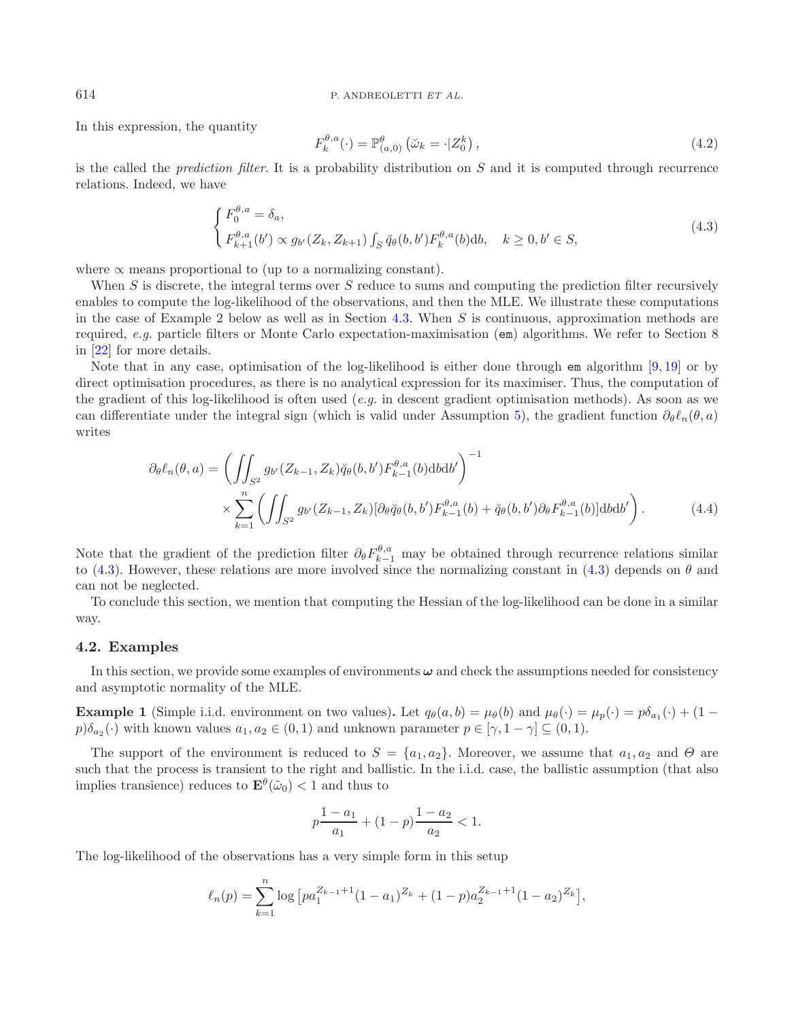In this expression, the quantity

<span id="page-9-3"></span>
$$
F_k^{\theta,a}(\cdot) = \mathbb{P}_{(a,0)}^{\theta} \left( \breve{\omega}_k = \cdot | Z_0^k \right), \qquad (4.2)
$$

is the called the *prediction filter*. It is a probability distribution on S and it is computed through recurrence relations. Indeed, we have

$$
\begin{cases}\nF_0^{\theta,a} = \delta_a, \\
F_{k+1}^{\theta,a}(b') \propto g_{b'}(Z_k, Z_{k+1}) \int_S \breve{q}_{\theta}(b, b') F_k^{\theta,a}(b) db, \quad k \ge 0, b' \in S,\n\end{cases}
$$
\n(4.3)

where  $\alpha$  means proportional to (up to a normalizing constant).

When  $S$  is discrete, the integral terms over  $S$  reduce to sums and computing the prediction filter recursively enables to compute the log-likelihood of the observations, and then the MLE. We illustrate these computations in the case of Example 2 below as well as in Section [4.3.](#page-13-0) When  $S$  is continuous, approximation methods are required, *e.g.* particle filters or Monte Carlo expectation-maximisation (em) algorithms. We refer to Section 8 in [\[22](#page-19-12)] for more details.

Note that in any case, optimisation of the log-likelihood is either done through em algorithm [\[9,](#page-19-23) [19](#page-19-24)] or by direct optimisation procedures, as there is no analytical expression for its maximiser. Thus, the computation of the gradient of this log-likelihood is often used (*e.g.* in descent gradient optimisation methods). As soon as we can differentiate under the integral sign (which is valid under Assumption [5\)](#page-7-3), the gradient function  $\partial_{\theta} \ell_n(\theta, a)$ writes

$$
\partial_{\theta} \ell_{n}(\theta, a) = \left( \iint_{S^{2}} g_{b'}(Z_{k-1}, Z_{k}) \breve{q}_{\theta}(b, b') F_{k-1}^{\theta, a}(b) \mathrm{d}b \mathrm{d}b' \right)^{-1} \times \sum_{k=1}^{n} \left( \iint_{S^{2}} g_{b'}(Z_{k-1}, Z_{k}) [\partial_{\theta} \breve{q}_{\theta}(b, b') F_{k-1}^{\theta, a}(b) + \breve{q}_{\theta}(b, b') \partial_{\theta} F_{k-1}^{\theta, a}(b)] \mathrm{d}b \mathrm{d}b' \right). \tag{4.4}
$$

Note that the gradient of the prediction filter  $\partial_{\theta} F_{k-1}^{\theta,a}$  may be obtained through recurrence relations similar to [\(4.3\)](#page-9-1). However, these relations are more involved since the normalizing constant in (4.3) depends on  $\theta$  and can not be neglected.

To conclude this section, we mention that computing the Hessian of the log-likelihood can be done in a similar way.

#### <span id="page-9-0"></span>**4.2. Examples**

In this section, we provide some examples of environments *ω* and check the assumptions needed for consistency and asymptotic normality of the MLE.

**Example 1** (Simple i.i.d. environment on two values). Let  $q_{\theta}(a, b) = \mu_{\theta}(b)$  and  $\mu_{\theta}(\cdot) = \mu_{p}(\cdot) = p\delta_{a_1}(\cdot) + (1 - \mu_{p_1})(\cdot)$  $p)\delta_{a_2}(\cdot)$  with known values  $a_1, a_2 \in (0, 1)$  and unknown parameter  $p \in [\gamma, 1 - \gamma] \subseteq (0, 1)$ .

The support of the environment is reduced to  $S = \{a_1, a_2\}$ . Moreover, we assume that  $a_1, a_2$  and  $\Theta$  are such that the process is transient to the right and ballistic. In the i.i.d. case, the ballistic assumption (that also implies transience) reduces to  $\mathbf{E}^{\theta}(\tilde{\omega}_0) < 1$  and thus to

$$
p\frac{1-a_1}{a_1} + (1-p)\frac{1-a_2}{a_2} < 1.
$$

The log-likelihood of the observations has a very simple form in this setup

$$
\ell_n(p) = \sum_{k=1}^n \log \left[ p a_1^{Z_{k-1}+1} (1-a_1)^{Z_k} + (1-p) a_2^{Z_{k-1}+1} (1-a_2)^{Z_k} \right],
$$

<span id="page-9-2"></span><span id="page-9-1"></span>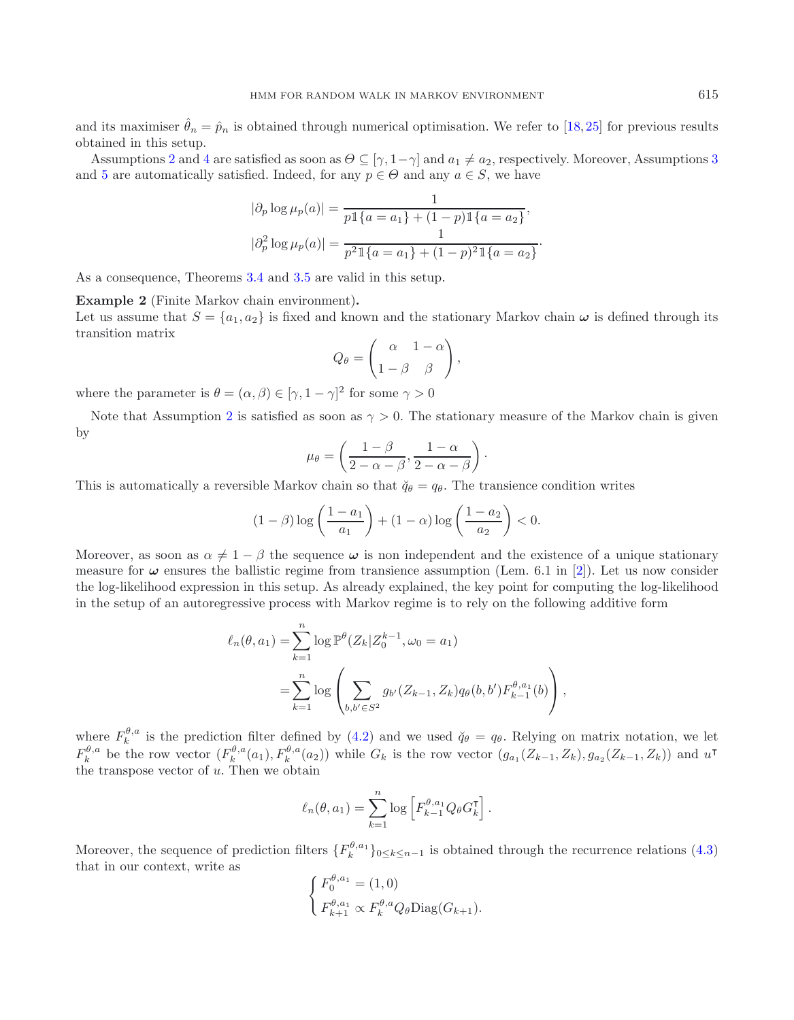and its maximiser  $\hat{\theta}_n = \hat{p}_n$  is obtained through numerical optimisation. We refer to [\[18](#page-19-6), [25](#page-19-7)] for previous results obtained in this setup.

Assumptions [2](#page-7-1) and [4](#page-7-2) are satisfied as soon as  $\Theta \subseteq [\gamma, 1-\gamma]$  and  $a_1 \neq a_2$ , respectively. Moreover, Assumptions [3](#page-7-4) and [5](#page-7-3) are automatically satisfied. Indeed, for any  $p \in \Theta$  and any  $a \in S$ , we have

$$
|\partial_p \log \mu_p(a)| = \frac{1}{p \mathbb{1}\{a = a_1\} + (1 - p) \mathbb{1}\{a = a_2\}},
$$
  

$$
|\partial_p^2 \log \mu_p(a)| = \frac{1}{p^2 \mathbb{1}\{a = a_1\} + (1 - p)^2 \mathbb{1}\{a = a_2\}}.
$$

As a consequence, Theorems [3.4](#page-7-5) and [3.5](#page-8-3) are valid in this setup.

**Example 2** (Finite Markov chain environment)**.**

Let us assume that  $S = \{a_1, a_2\}$  is fixed and known and the stationary Markov chain  $\omega$  is defined through its transition matrix

$$
Q_{\theta} = \begin{pmatrix} \alpha & 1 - \alpha \\ 1 - \beta & \beta \end{pmatrix},
$$

where the parameter is  $\theta = (\alpha, \beta) \in [\gamma, 1 - \gamma]^2$  for some  $\gamma > 0$ 

Note that Assumption [2](#page-7-1) is satisfied as soon as  $\gamma > 0$ . The stationary measure of the Markov chain is given by

$$
\mu_{\theta} = \left(\frac{1-\beta}{2-\alpha-\beta}, \frac{1-\alpha}{2-\alpha-\beta}\right).
$$

This is automatically a reversible Markov chain so that  $\check{q}_{\theta} = q_{\theta}$ . The transience condition writes

$$
(1 - \beta) \log \left( \frac{1 - a_1}{a_1} \right) + (1 - \alpha) \log \left( \frac{1 - a_2}{a_2} \right) < 0.
$$

Moreover, as soon as  $\alpha \neq 1 - \beta$  the sequence  $\omega$  is non independent and the existence of a unique stationary measure for  $\omega$  ensures the ballistic regime from transience assumption (Lem. 6.1 in [\[2](#page-19-22)]). Let us now consider the log-likelihood expression in this setup. As already explained, the key point for computing the log-likelihood in the setup of an autoregressive process with Markov regime is to rely on the following additive form

$$
\ell_n(\theta, a_1) = \sum_{k=1}^n \log \mathbb{P}^{\theta}(Z_k | Z_0^{k-1}, \omega_0 = a_1)
$$
  
= 
$$
\sum_{k=1}^n \log \left( \sum_{b, b' \in S^2} g_{b'}(Z_{k-1}, Z_k) q_{\theta}(b, b') F_{k-1}^{\theta, a_1}(b) \right),
$$

where  $F_k^{\theta,a}$  is the prediction filter defined by [\(4.2\)](#page-9-2) and we used  $\check{q}_{\theta} = q_{\theta}$ . Relying on matrix notation, we let  $F_k^{\theta,a}$  be the row vector  $(F_k^{\theta,a}(a_1), F_k^{\theta,a}(a_2))$  while  $G_k$  is the row vector  $(g_{a_1}(Z_{k-1}, Z_k), g_{a_2}(Z_{k-1}, Z_k))$  and  $u^{\dagger}$ the transpose vector of  $u$ . Then we obtain

$$
\ell_n(\theta, a_1) = \sum_{k=1}^n \log \left[ F_{k-1}^{\theta, a_1} Q_\theta G_k^{\mathsf{T}} \right].
$$

Moreover, the sequence of prediction filters  ${F_k^{\theta,a_1}}_{0 \le k \le n-1}$  is obtained through the recurrence relations [\(4.3\)](#page-9-1) that in our context, write as

$$
\begin{cases} F_0^{\theta, a_1} = (1, 0) \\ F_{k+1}^{\theta, a_1} \propto F_k^{\theta, a} Q_\theta \text{Diag}(G_{k+1}). \end{cases}
$$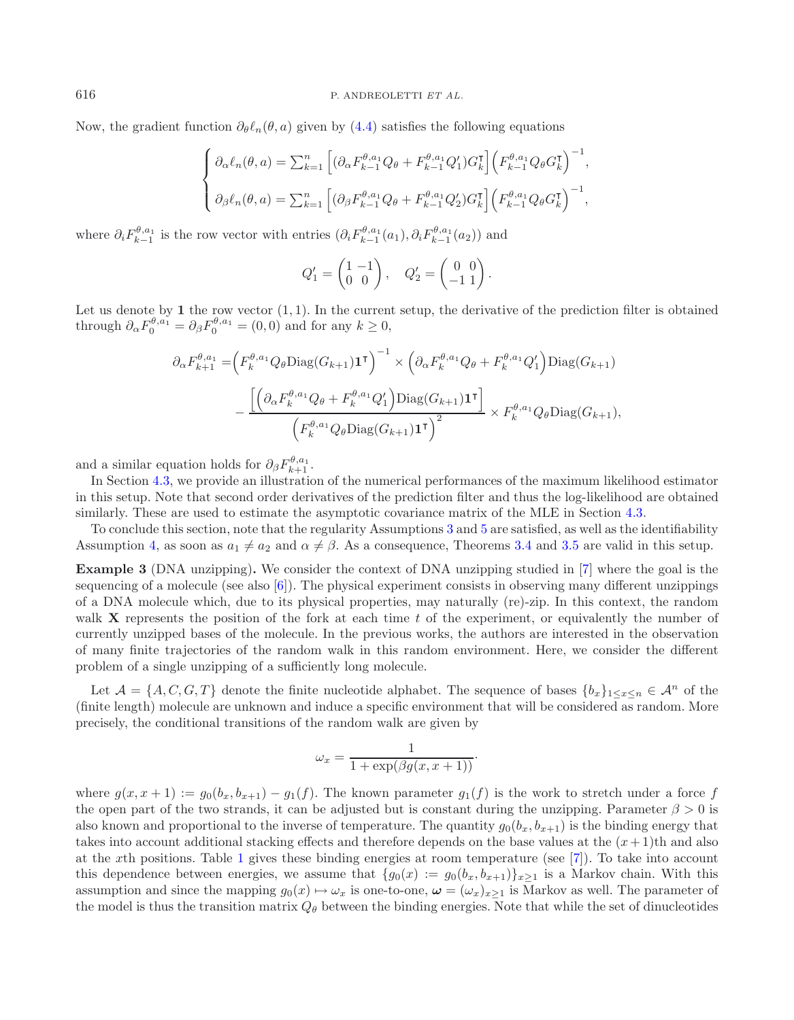Now, the gradient function  $\partial_{\theta} \ell_n(\theta, a)$  given by [\(4.4\)](#page-9-3) satisfies the following equations

$$
\begin{cases}\n\partial_{\alpha} \ell_n(\theta, a) = \sum_{k=1}^n \left[ (\partial_{\alpha} F_{k-1}^{\theta, a_1} Q_{\theta} + F_{k-1}^{\theta, a_1} Q_1') G_k^{\mathsf{T}} \right] \left( F_{k-1}^{\theta, a_1} Q_{\theta} G_k^{\mathsf{T}} \right)^{-1}, \\
\partial_{\beta} \ell_n(\theta, a) = \sum_{k=1}^n \left[ (\partial_{\beta} F_{k-1}^{\theta, a_1} Q_{\theta} + F_{k-1}^{\theta, a_1} Q_2') G_k^{\mathsf{T}} \right] \left( F_{k-1}^{\theta, a_1} Q_{\theta} G_k^{\mathsf{T}} \right)^{-1},\n\end{cases}
$$

where  $\partial_i F_{k-1}^{\theta, a_1}$  is the row vector with entries  $(\partial_i F_{k-1}^{\theta, a_1}(a_1), \partial_i F_{k-1}^{\theta, a_1}(a_2))$  and

$$
Q_1' = \begin{pmatrix} 1 & -1 \\ 0 & 0 \end{pmatrix}, \quad Q_2' = \begin{pmatrix} 0 & 0 \\ -1 & 1 \end{pmatrix}.
$$

Let us denote by  $1$  the row vector  $(1, 1)$ . In the current setup, the derivative of the prediction filter is obtained through  $\partial_{\alpha} F_0^{\theta, a_1} = \partial_{\beta} F_0^{\theta, a_1} = (0, 0)$  and for any  $k \ge 0$ ,

$$
\partial_{\alpha} F_{k+1}^{\theta, a_1} = \left( F_k^{\theta, a_1} Q_{\theta} \text{Diag}(G_{k+1}) \mathbf{1}^{\mathsf{T}} \right)^{-1} \times \left( \partial_{\alpha} F_k^{\theta, a_1} Q_{\theta} + F_k^{\theta, a_1} Q_1' \right) \text{Diag}(G_{k+1})
$$

$$
- \frac{\left[ \left( \partial_{\alpha} F_k^{\theta, a_1} Q_{\theta} + F_k^{\theta, a_1} Q_1' \right) \text{Diag}(G_{k+1}) \mathbf{1}^{\mathsf{T}} \right]}{\left( F_k^{\theta, a_1} Q_{\theta} \text{Diag}(G_{k+1}) \mathbf{1}^{\mathsf{T}} \right)^2} \times F_k^{\theta, a_1} Q_{\theta} \text{Diag}(G_{k+1}),
$$

and a similar equation holds for  $\partial_{\beta} F^{\theta, a_1}_{k+1}$ .

In Section [4.3,](#page-13-0) we provide an illustration of the numerical performances of the maximum likelihood estimator in this setup. Note that second order derivatives of the prediction filter and thus the log-likelihood are obtained similarly. These are used to estimate the asymptotic covariance matrix of the MLE in Section [4.3.](#page-13-0)

To conclude this section, note that the regularity Assumptions [3](#page-7-4) and [5](#page-7-3) are satisfied, as well as the identifiability Assumption [4,](#page-7-2) as soon as  $a_1 \neq a_2$  and  $\alpha \neq \beta$ . As a consequence, Theorems [3.4](#page-7-5) and [3.5](#page-8-3) are valid in this setup.

**Example 3** (DNA unzipping)**.** We consider the context of DNA unzipping studied in [\[7\]](#page-19-2) where the goal is the sequencing of a molecule (see also [\[6\]](#page-19-4)). The physical experiment consists in observing many different unzippings of a DNA molecule which, due to its physical properties, may naturally (re)-zip. In this context, the random walk **X** represents the position of the fork at each time t of the experiment, or equivalently the number of currently unzipped bases of the molecule. In the previous works, the authors are interested in the observation of many finite trajectories of the random walk in this random environment. Here, we consider the different problem of a single unzipping of a sufficiently long molecule.

Let  $\mathcal{A} = \{A, C, G, T\}$  denote the finite nucleotide alphabet. The sequence of bases  $\{b_x\}_{1 \leq x \leq n} \in \mathcal{A}^n$  of the (finite length) molecule are unknown and induce a specific environment that will be considered as random. More precisely, the conditional transitions of the random walk are given by

$$
\omega_x = \frac{1}{1 + \exp(\beta g(x, x+1))}.
$$

where  $g(x, x + 1) := g_0(b_x, b_{x+1}) - g_1(f)$ . The known parameter  $g_1(f)$  is the work to stretch under a force f the open part of the two strands, it can be adjusted but is constant during the unzipping. Parameter  $\beta > 0$  is also known and proportional to the inverse of temperature. The quantity  $g_0(b_x, b_{x+1})$  is the binding energy that takes into account additional stacking effects and therefore depends on the base values at the  $(x+1)$ th and also at the xth positions. Table [1](#page-12-0) gives these binding energies at room temperature (see [\[7\]](#page-19-2)). To take into account this dependence between energies, we assume that  $\{g_0(x) := g_0(b_x, b_{x+1})\}_{x \ge 1}$  is a Markov chain. With this assumption and since the mapping  $g_0(x) \mapsto \omega_x$  is one-to-one,  $\boldsymbol{\omega} = (\omega_x)_{x \ge 1}$  is Markov as well. The parameter of the model is thus the transition matrix  $Q_{\theta}$  between the binding energies. Note that while the set of dinucleotides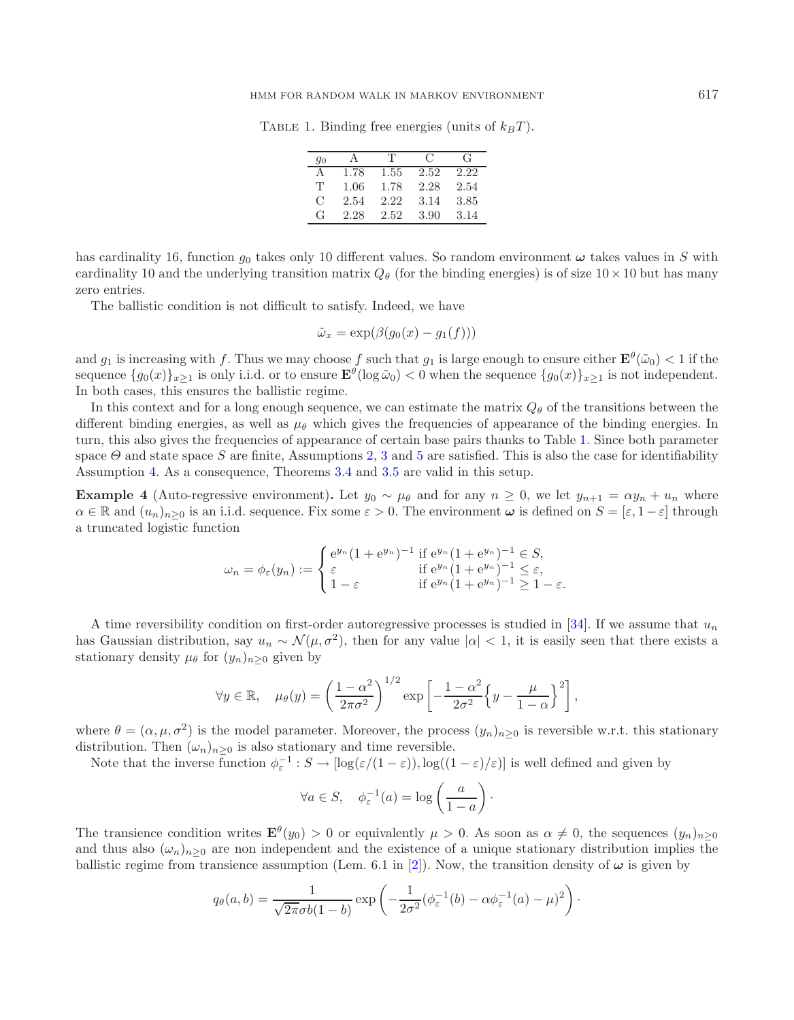#### <span id="page-12-0"></span>HMM FOR RANDOM WALK IN MARKOV ENVIRONMENT 617

TABLE 1. Binding free energies (units of  $k_BT$ ).

| 90 |      | T    | $\mathcal{C}$ | G    |
|----|------|------|---------------|------|
| А  | 1.78 | 1.55 | 2.52          | 2.22 |
| T  | 1.06 | 1.78 | 2.28          | 2.54 |
| C  | 2.54 | 2.22 | 3.14          | 3.85 |
| G  | 2.28 | 2.52 | 3.90          | 3.14 |

has cardinality 16, function  $g_0$  takes only 10 different values. So random environment  $\omega$  takes values in S with cardinality 10 and the underlying transition matrix  $Q_{\theta}$  (for the binding energies) is of size  $10 \times 10$  but has many zero entries.

The ballistic condition is not difficult to satisfy. Indeed, we have

$$
\tilde{\omega}_x = \exp(\beta(g_0(x) - g_1(f)))
$$

and  $g_1$  is increasing with f. Thus we may choose f such that  $g_1$  is large enough to ensure either  $\mathbf{E}^{\theta}(\tilde{\omega}_0) < 1$  if the sequence  $\{g_0(x)\}_{x>1}$  is only i.i.d. or to ensure  $\mathbf{E}^{\theta}(\log \tilde{\omega}_0) < 0$  when the sequence  $\{g_0(x)\}_{x>1}$  is not independent. In both cases, this ensures the ballistic regime.

In this context and for a long enough sequence, we can estimate the matrix  $Q_{\theta}$  of the transitions between the different binding energies, as well as  $\mu_{\theta}$  which gives the frequencies of appearance of the binding energies. In turn, this also gives the frequencies of appearance of certain base pairs thanks to Table [1.](#page-12-0) Since both parameter space  $\Theta$  and state space S are finite, Assumptions [2,](#page-7-1) [3](#page-7-4) and [5](#page-7-3) are satisfied. This is also the case for identifiability Assumption [4.](#page-7-2) As a consequence, Theorems [3.4](#page-7-5) and [3.5](#page-8-3) are valid in this setup.

**Example 4** (Auto-regressive environment). Let  $y_0 \sim \mu_\theta$  and for any  $n \geq 0$ , we let  $y_{n+1} = \alpha y_n + u_n$  where  $\alpha \in \mathbb{R}$  and  $(u_n)_{n\geq 0}$  is an i.i.d. sequence. Fix some  $\varepsilon > 0$ . The environment  $\omega$  is defined on  $S = [\varepsilon, 1-\varepsilon]$  through a truncated logistic function

$$
\omega_n = \phi_{\varepsilon}(y_n) := \begin{cases} e^{y_n} (1 + e^{y_n})^{-1} & \text{if } e^{y_n} (1 + e^{y_n})^{-1} \in S, \\ \varepsilon & \text{if } e^{y_n} (1 + e^{y_n})^{-1} \le \varepsilon, \\ 1 - \varepsilon & \text{if } e^{y_n} (1 + e^{y_n})^{-1} \ge 1 - \varepsilon. \end{cases}
$$

A time reversibility condition on first-order autoregressive processes is studied in [\[34\]](#page-20-13). If we assume that  $u_n$ has Gaussian distribution, say  $u_n \sim \mathcal{N}(\mu, \sigma^2)$ , then for any value  $|\alpha| < 1$ , it is easily seen that there exists a stationary density  $\mu_{\theta}$  for  $(y_n)_{n>0}$  given by

$$
\forall y \in \mathbb{R}, \quad \mu_{\theta}(y) = \left(\frac{1-\alpha^2}{2\pi\sigma^2}\right)^{1/2} \exp\left[-\frac{1-\alpha^2}{2\sigma^2}\left\{y-\frac{\mu}{1-\alpha}\right\}^2\right],
$$

where  $\theta = (\alpha, \mu, \sigma^2)$  is the model parameter. Moreover, the process  $(y_n)_{n\geq 0}$  is reversible w.r.t. this stationary distribution. Then  $(\omega_n)_{n\geq 0}$  is also stationary and time reversible.

Note that the inverse function  $\phi_{\varepsilon}^{-1}: S \to [\log(\varepsilon/(1-\varepsilon)), \log((1-\varepsilon)/\varepsilon)]$  is well defined and given by

$$
\forall a \in S, \quad \phi_{\varepsilon}^{-1}(a) = \log\left(\frac{a}{1-a}\right).
$$

The transience condition writes  $\mathbf{E}^{\theta}(y_0) > 0$  or equivalently  $\mu > 0$ . As soon as  $\alpha \neq 0$ , the sequences  $(y_n)_{n\geq 0}$ and thus also  $(\omega_n)_{n>0}$  are non independent and the existence of a unique stationary distribution implies the ballistic regime from transience assumption (Lem. 6.1 in [\[2\]](#page-19-22)). Now, the transition density of  $\omega$  is given by

$$
q_{\theta}(a,b) = \frac{1}{\sqrt{2\pi}\sigma b(1-b)} \exp\left(-\frac{1}{2\sigma^2}(\phi_{\varepsilon}^{-1}(b) - \alpha \phi_{\varepsilon}^{-1}(a) - \mu)^2\right).
$$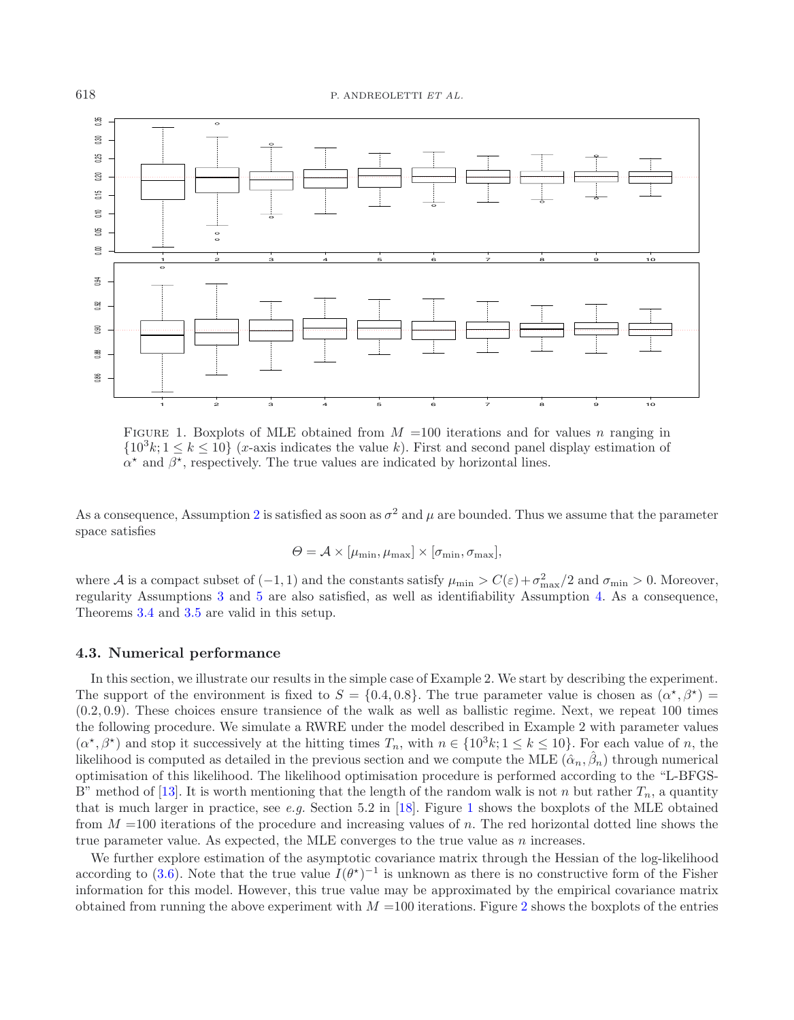<span id="page-13-1"></span>

FIGURE 1. Boxplots of MLE obtained from  $M = 100$  iterations and for values n ranging in  ${10^3k; 1 \le k \le 10}$  (*x*-axis indicates the value *k*). First and second panel display estimation of  $\alpha^*$  and  $\beta^*$ , respectively. The true values are indicated by horizontal lines.

As a consequence, Assumption [2](#page-7-1) is satisfied as soon as  $\sigma^2$  and  $\mu$  are bounded. Thus we assume that the parameter space satisfies

$$
\Theta = \mathcal{A} \times [\mu_{\min}, \mu_{\max}] \times [\sigma_{\min}, \sigma_{\max}],
$$

where A is a compact subset of  $(-1, 1)$  and the constants satisfy  $\mu_{\min} > C(\varepsilon) + \sigma_{\max}^2/2$  and  $\sigma_{\min} > 0$ . Moreover, regularity Assumptions [3](#page-7-4) and [5](#page-7-3) are also satisfied, as well as identifiability Assumption [4.](#page-7-2) As a consequence, Theorems [3.4](#page-7-5) and [3.5](#page-8-3) are valid in this setup.

# <span id="page-13-0"></span>**4.3. Numerical performance**

In this section, we illustrate our results in the simple case of Example 2. We start by describing the experiment. The support of the environment is fixed to  $S = \{0.4, 0.8\}$ . The true parameter value is chosen as  $(\alpha^*, \beta^*)$ (0.2, 0.9). These choices ensure transience of the walk as well as ballistic regime. Next, we repeat 100 times the following procedure. We simulate a RWRE under the model described in Example 2 with parameter values  $(\alpha^*, \beta^*)$  and stop it successively at the hitting times  $T_n$ , with  $n \in \{10^3k; 1 \leq k \leq 10\}$ . For each value of n, the likelihood is computed as detailed in the previous section and we compute the MLE  $(\hat{\alpha}_n, \hat{\beta}_n)$  through numerical optimisation of this likelihood. The likelihood optimisation procedure is performed according to the "L-BFGS-B" method of [\[13](#page-19-25)]. It is worth mentioning that the length of the random walk is not n but rather  $T_n$ , a quantity that is much larger in practice, see *e.g.* Section 5.2 in [\[18](#page-19-6)]. Figure [1](#page-13-1) shows the boxplots of the MLE obtained from  $M = 100$  iterations of the procedure and increasing values of n. The red horizontal dotted line shows the true parameter value. As expected, the MLE converges to the true value as  $n$  increases.

We further explore estimation of the asymptotic covariance matrix through the Hessian of the log-likelihood according to [\(3.6\)](#page-8-4). Note that the true value  $I(\theta^*)^{-1}$  is unknown as there is no constructive form of the Fisher information for this model. However, this true value may be approximated by the empirical covariance matrix obtained from running the above experiment with  $M = 100$  iterations. Figure [2](#page-14-0) shows the boxplots of the entries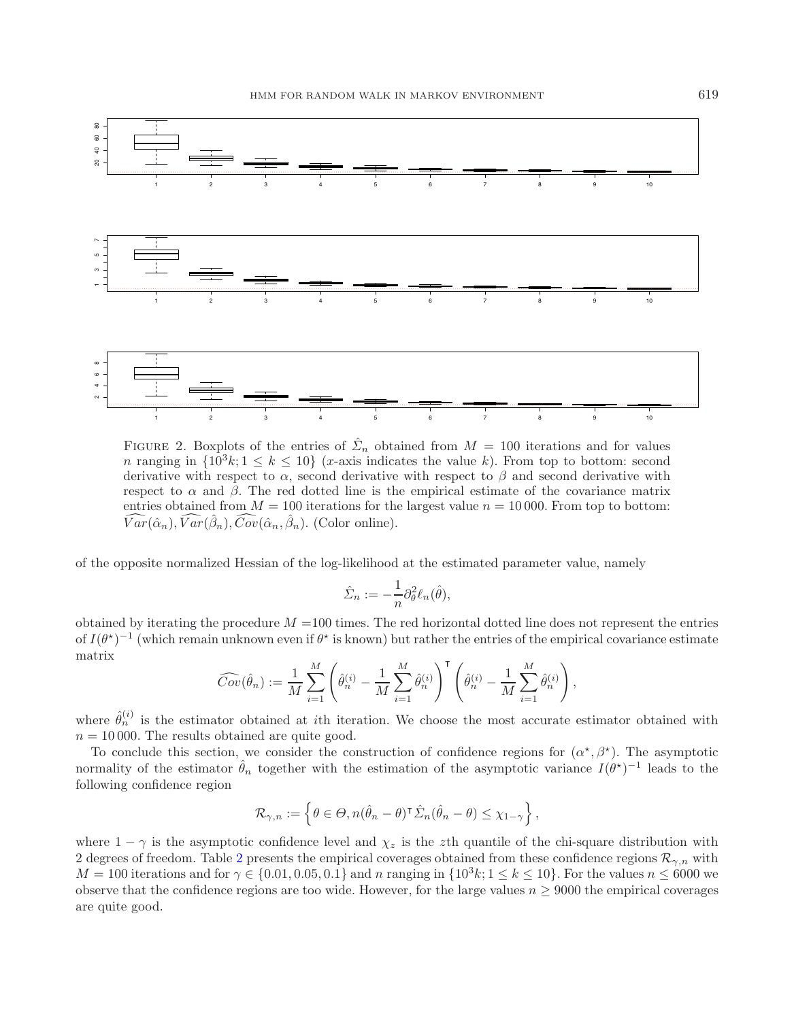<span id="page-14-0"></span>

FIGURE 2. Boxplots of the entries of  $\hat{\Sigma}_n$  obtained from  $M = 100$  iterations and for values n ranging in  $\{10^3k; 1 \leq k \leq 10\}$  (x-axis indicates the value k). From top to bottom: second derivative with respect to  $\alpha$ , second derivative with respect to  $\beta$  and second derivative with respect to  $\alpha$  and  $\beta$ . The red dotted line is the empirical estimate of the covariance matrix entries obtained from  $M = 100$  iterations for the largest value  $n = 10000$ . From top to bottom:  $\widehat{Var}(\hat{\alpha}_n), \widehat{Var}(\hat{\beta}_n), \widehat{Cov}(\hat{\alpha}_n, \hat{\beta}_n).$  (Color online).

of the opposite normalized Hessian of the log-likelihood at the estimated parameter value, namely

$$
\hat{\Sigma}_n := -\frac{1}{n} \partial_\theta^2 \ell_n(\hat{\theta}),
$$

obtained by iterating the procedure  $M = 100$  times. The red horizontal dotted line does not represent the entries of  $I(\theta^*)^{-1}$  (which remain unknown even if  $\theta^*$  is known) but rather the entries of the empirical covariance estimate matrix

$$
\widehat{Cov}(\hat{\theta}_n) := \frac{1}{M} \sum_{i=1}^M \left( \hat{\theta}_n^{(i)} - \frac{1}{M} \sum_{i=1}^M \hat{\theta}_n^{(i)} \right)^{\mathsf{T}} \left( \hat{\theta}_n^{(i)} - \frac{1}{M} \sum_{i=1}^M \hat{\theta}_n^{(i)} \right),
$$

where  $\hat{\theta}_n^{(i)}$  is the estimator obtained at *i*th iteration. We choose the most accurate estimator obtained with  $n = 10000$ . The results obtained are quite good.

To conclude this section, we consider the construction of confidence regions for  $(\alpha^*, \beta^*)$ . The asymptotic normality of the estimator  $\hat{\theta}_n$  together with the estimation of the asymptotic variance  $I(\theta^*)^{-1}$  leads to the following confidence region

$$
\mathcal{R}_{\gamma,n} := \left\{ \theta \in \Theta, n(\hat{\theta}_n - \theta)^{\sf T} \hat{\Sigma}_n(\hat{\theta}_n - \theta) \leq \chi_{1-\gamma} \right\},\
$$

where  $1 - \gamma$  is the asymptotic confidence level and  $\chi_z$  is the zth quantile of the chi-square distribution with [2](#page-15-3) degrees of freedom. Table 2 presents the empirical coverages obtained from these confidence regions  $\mathcal{R}_{\gamma,n}$  with  $M = 100$  iterations and for  $\gamma \in \{0.01, 0.05, 0.1\}$  and n ranging in  $\{10^3k; 1 \le k \le 10\}$ . For the values  $n \le 6000$  we observe that the confidence regions are too wide. However, for the large values  $n > 9000$  the empirical coverages are quite good.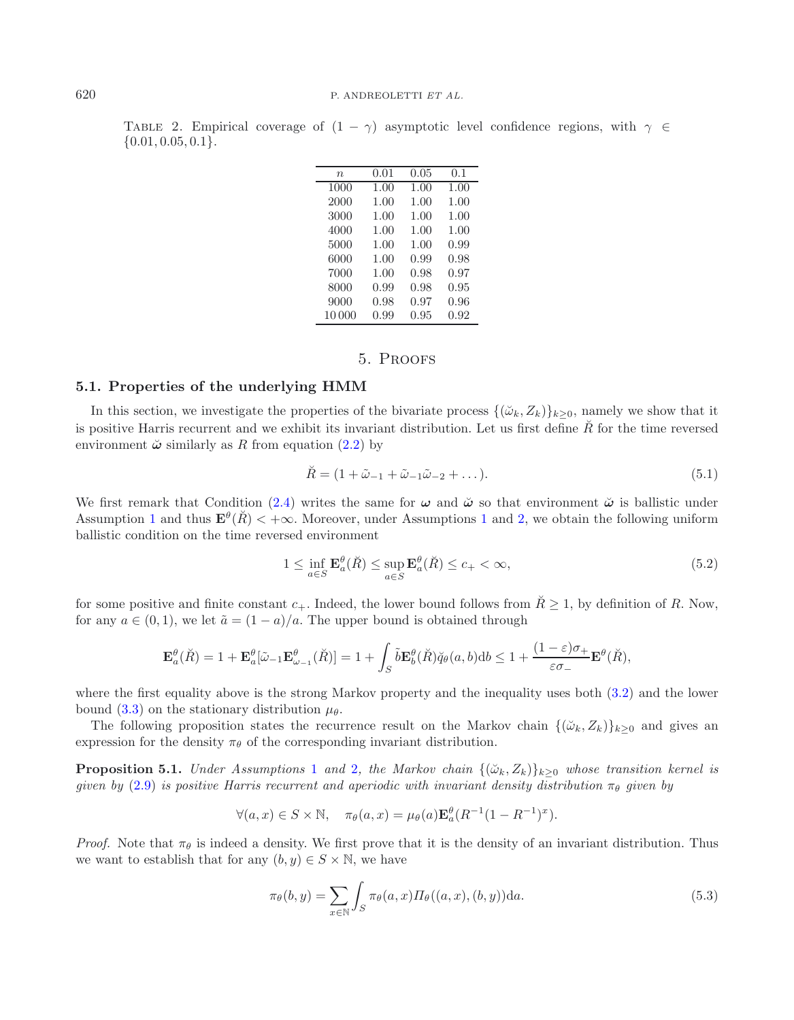<span id="page-15-3"></span>

|                        |  |  | TABLE 2. Empirical coverage of $(1 - \gamma)$ asymptotic level confidence regions, with $\gamma \in$ |  |  |  |
|------------------------|--|--|------------------------------------------------------------------------------------------------------|--|--|--|
| $\{0.01, 0.05, 0.1\}.$ |  |  |                                                                                                      |  |  |  |

| $\boldsymbol{n}$ | 0.01 | 0.05 | 0.1  |
|------------------|------|------|------|
| 1000             | 1.00 | 1.00 | 1.00 |
| 2000             | 1.00 | 1.00 | 1.00 |
| 3000             | 1.00 | 1.00 | 1.00 |
| 4000             | 1.00 | 1.00 | 1.00 |
| 5000             | 1.00 | 1.00 | 0.99 |
| 6000             | 1.00 | 0.99 | 0.98 |
| 7000             | 1.00 | 0.98 | 0.97 |
| 8000             | 0.99 | 0.98 | 0.95 |
| 9000             | 0.98 | 0.97 | 0.96 |
| 10000            | 0.99 | 0.95 | 0.92 |

# <span id="page-15-5"></span>5. Proofs

# <span id="page-15-1"></span><span id="page-15-0"></span>**5.1. Properties of the underlying HMM**

In this section, we investigate the properties of the bivariate process  $\{(\check{\omega}_k, Z_k)\}_{k>0}$ , namely we show that it is positive Harris recurrent and we exhibit its invariant distribution. Let us first define  $\tilde{R}$  for the time reversed environment  $\ddot{\omega}$  similarly as R from equation [\(2.2\)](#page-3-3) by

$$
\breve{R} = (1 + \tilde{\omega}_{-1} + \tilde{\omega}_{-1}\tilde{\omega}_{-2} + \dots). \tag{5.1}
$$

We first remark that Condition [\(2.4\)](#page-3-4) writes the same for  $\omega$  and  $\ddot{\omega}$  so that environment  $\ddot{\omega}$  is ballistic under Assumption [1](#page-7-0) and thus  $\mathbf{E}^{\theta}(\check{R}) < +\infty$ . Moreover, under Assumptions 1 and [2,](#page-7-1) we obtain the following uniform ballistic condition on the time reversed environment

<span id="page-15-4"></span>
$$
1 \le \inf_{a \in S} \mathbf{E}_a^\theta(\check{R}) \le \sup_{a \in S} \mathbf{E}_a^\theta(\check{R}) \le c_+ < \infty,\tag{5.2}
$$

for some positive and finite constant  $c_+$ . Indeed, the lower bound follows from  $R \geq 1$ , by definition of R. Now, for any  $a \in (0,1)$ , we let  $\tilde{a} = (1-a)/a$ . The upper bound is obtained through

$$
\mathbf{E}_{a}^{\theta}(\breve{R})=1+\mathbf{E}_{a}^{\theta}[\tilde{\omega}_{-1}\mathbf{E}_{\omega_{-1}}^{\theta}(\breve{R})]=1+\int_{S}\tilde{b}\mathbf{E}_{b}^{\theta}(\breve{R})\breve{q}_{\theta}(a,b)\mathrm{d}b\leq 1+\frac{(1-\varepsilon)\sigma_{+}}{\varepsilon\sigma_{-}}\mathbf{E}^{\theta}(\breve{R}),
$$

where the first equality above is the strong Markov property and the inequality uses both [\(3.2\)](#page-7-6) and the lower bound [\(3.3\)](#page-7-7) on the stationary distribution  $\mu_{\theta}$ .

<span id="page-15-2"></span>The following proposition states the recurrence result on the Markov chain  $\{(\check{\omega}_k, Z_k)\}_{k\geq 0}$  and gives an expression for the density  $\pi_{\theta}$  of the corresponding invariant distribution.

**Proposition 5.[1](#page-7-0).** *Under Assumptions* 1 *and* [2](#page-7-1)*, the Markov chain*  $\{(\check{\omega}_k, Z_k)\}_{k\geq 0}$  *whose transition kernel is given by* [\(2.9\)](#page-5-2) *is positive Harris recurrent and aperiodic with invariant density distribution*  $\pi_{\theta}$  *given by* 

$$
\forall (a,x) \in S \times \mathbb{N}, \quad \pi_{\theta}(a,x) = \mu_{\theta}(a) \mathbf{E}_a^{\theta}(R^{-1}(1 - R^{-1})^x).
$$

*Proof.* Note that  $\pi_{\theta}$  is indeed a density. We first prove that it is the density of an invariant distribution. Thus we want to establish that for any  $(b, y) \in S \times \mathbb{N}$ , we have

$$
\pi_{\theta}(b, y) = \sum_{x \in \mathbb{N}} \int_{S} \pi_{\theta}(a, x) \Pi_{\theta}((a, x), (b, y)) da.
$$
\n(5.3)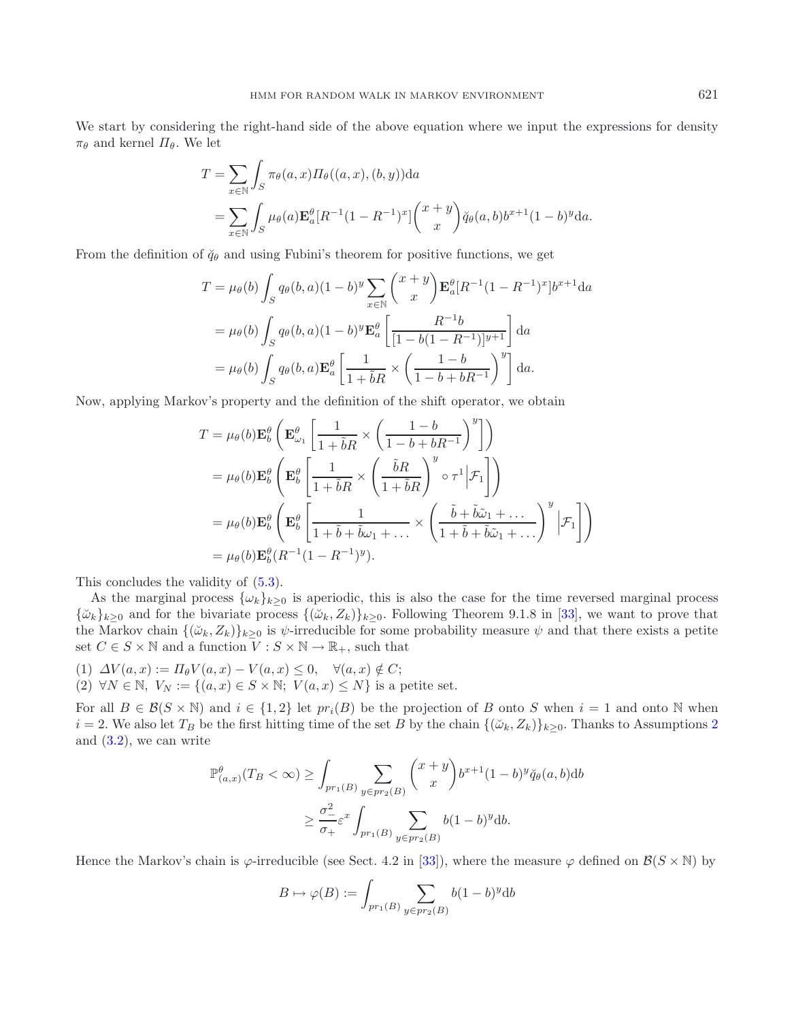We start by considering the right-hand side of the above equation where we input the expressions for density  $\pi_{\theta}$  and kernel  $\Pi_{\theta}$ . We let

$$
T = \sum_{x \in \mathbb{N}} \int_S \pi_{\theta}(a, x) \Pi_{\theta}((a, x), (b, y)) da
$$
  
= 
$$
\sum_{x \in \mathbb{N}} \int_S \mu_{\theta}(a) \mathbf{E}_a^{\theta}[R^{-1}(1 - R^{-1})^x] \binom{x + y}{x} \breve{q}_{\theta}(a, b) b^{x+1}(1 - b)^y da.
$$

From the definition of  $\check{q}_{\theta}$  and using Fubini's theorem for positive functions, we get

$$
T = \mu_{\theta}(b) \int_{S} q_{\theta}(b, a)(1 - b)^{y} \sum_{x \in \mathbb{N}} {x + y \choose x} \mathbf{E}_{a}^{\theta}[R^{-1}(1 - R^{-1})^{x}] b^{x+1} da
$$
  
=  $\mu_{\theta}(b) \int_{S} q_{\theta}(b, a)(1 - b)^{y} \mathbf{E}_{a}^{\theta} \left[ \frac{R^{-1}b}{[1 - b(1 - R^{-1})]^{y+1}} \right] da$   
=  $\mu_{\theta}(b) \int_{S} q_{\theta}(b, a) \mathbf{E}_{a}^{\theta} \left[ \frac{1}{1 + \tilde{b}R} \times \left( \frac{1 - b}{1 - b + bR^{-1}} \right)^{y} \right] da.$ 

Now, applying Markov's property and the definition of the shift operator, we obtain

$$
T = \mu_{\theta}(b) \mathbf{E}_{b}^{\theta} \left( \mathbf{E}_{\omega_{1}}^{\theta} \left[ \frac{1}{1 + \tilde{b}R} \times \left( \frac{1 - b}{1 - b + bR^{-1}} \right)^{y} \right] \right)
$$
  
\n
$$
= \mu_{\theta}(b) \mathbf{E}_{b}^{\theta} \left( \mathbf{E}_{b}^{\theta} \left[ \frac{1}{1 + \tilde{b}R} \times \left( \frac{\tilde{b}R}{1 + \tilde{b}R} \right)^{y} \circ \tau^{1} | \mathcal{F}_{1} \right] \right)
$$
  
\n
$$
= \mu_{\theta}(b) \mathbf{E}_{b}^{\theta} \left( \mathbf{E}_{b}^{\theta} \left[ \frac{1}{1 + \tilde{b} + \tilde{b}\omega_{1} + \dots} \times \left( \frac{\tilde{b} + \tilde{b}\tilde{\omega}_{1} + \dots}{1 + \tilde{b} + \tilde{b}\tilde{\omega}_{1} + \dots} \right)^{y} | \mathcal{F}_{1} \right] \right)
$$
  
\n
$$
= \mu_{\theta}(b) \mathbf{E}_{b}^{\theta}(R^{-1}(1 - R^{-1})^{y}).
$$

This concludes the validity of [\(5.3\)](#page-15-4).

As the marginal process  $\{\omega_k\}_{k>0}$  is aperiodic, this is also the case for the time reversed marginal process  ${\{\tilde{\omega}_k\}_{k\geq 0}}$  and for the bivariate process  ${\{\tilde{\omega}_k, Z_k\}_{k\geq 0}}$ . Following Theorem 9.1.8 in [\[33\]](#page-20-14), we want to prove that the Markov chain  $\{(\check{\omega}_k, Z_k)\}_{k\geq 0}$  is  $\psi$ -irreducible for some probability measure  $\psi$  and that there exists a petite set  $C \in S \times \mathbb{N}$  and a function  $V : S \times \mathbb{N} \to \mathbb{R}_+$ , such that

(1)  $\Delta V(a,x) := \Pi_{\theta} V(a,x) - V(a,x) \leq 0, \quad \forall (a,x) \notin C;$ (2)  $\forall N \in \mathbb{N}, V_N := \{(a, x) \in S \times \mathbb{N}, V(a, x) \leq N\}$  is a petite set.

For all  $B \in \mathcal{B}(S \times \mathbb{N})$  and  $i \in \{1,2\}$  let  $pr_i(B)$  be the projection of B onto S when  $i = 1$  and onto N when  $i = 2$  $i = 2$ . We also let  $T_B$  be the first hitting time of the set B by the chain  $\{(\check{\omega}_k, Z_k)\}_{k \geq 0}$ . Thanks to Assumptions 2 and  $(3.2)$ , we can write

$$
\mathbb{P}^{\theta}_{(a,x)}(T_B < \infty) \ge \int_{pr_1(B)} \sum_{y \in pr_2(B)} {x + y \choose x} b^{x+1} (1-b)^y \breve{q}_{\theta}(a,b) db
$$
  

$$
\ge \frac{\sigma_-^2}{\sigma_+} \varepsilon^x \int_{pr_1(B)} \sum_{y \in pr_2(B)} b(1-b)^y db.
$$

Hence the Markov's chain is  $\varphi$ -irreducible (see Sect. 4.2 in [\[33\]](#page-20-14)), where the measure  $\varphi$  defined on  $\mathcal{B}(S \times N)$  by

$$
B \mapsto \varphi(B) := \int_{pr_1(B)} \sum_{y \in pr_2(B)} b(1-b)^y \mathrm{d}b
$$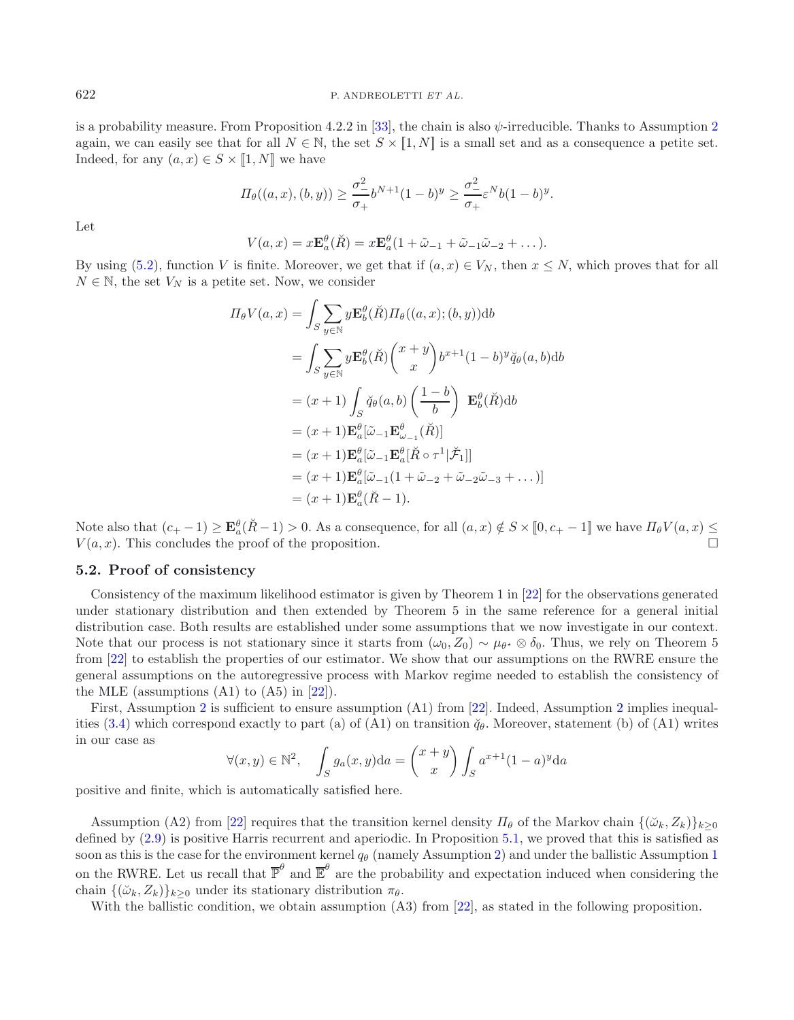is a probability measure. From Proposition 4.2.2 in [\[33](#page-20-14)], the chain is also  $\psi$ -irreducible. Thanks to Assumption [2](#page-7-1) again, we can easily see that for all  $N \in \mathbb{N}$ , the set  $S \times [1, N]$  is a small set and as a consequence a petite set. Indeed, for any  $(a, x) \in S \times [1, N]$  we have

$$
\Pi_{\theta}((a,x),(b,y)) \geq \frac{\sigma_{-}^2}{\sigma_{+}}b^{N+1}(1-b)^y \geq \frac{\sigma_{-}^2}{\sigma_{+}}\varepsilon^N b(1-b)^y.
$$

Let

$$
V(a,x) = x \mathbf{E}_a^{\theta}(\check{R}) = x \mathbf{E}_a^{\theta} (1 + \tilde{\omega}_{-1} + \tilde{\omega}_{-1} \tilde{\omega}_{-2} + \dots).
$$

By using [\(5.2\)](#page-15-5), function V is finite. Moreover, we get that if  $(a, x) \in V_N$ , then  $x \leq N$ , which proves that for all  $N \in \mathbb{N}$ , the set  $V_N$  is a petite set. Now, we consider

$$
\Pi_{\theta}V(a,x) = \int_{S} \sum_{y \in \mathbb{N}} y \mathbf{E}_{b}^{\theta}(\check{R}) \Pi_{\theta}((a,x); (b,y)) \mathrm{d}b
$$
\n
$$
= \int_{S} \sum_{y \in \mathbb{N}} y \mathbf{E}_{b}^{\theta}(\check{R}) {x+y \choose x} b^{x+1} (1-b)^{y} \check{q}_{\theta}(a,b) \mathrm{d}b
$$
\n
$$
= (x+1) \int_{S} \check{q}_{\theta}(a,b) \left(\frac{1-b}{b}\right) \mathbf{E}_{b}^{\theta}(\check{R}) \mathrm{d}b
$$
\n
$$
= (x+1) \mathbf{E}_{a}^{\theta}[\tilde{\omega}_{-1} \mathbf{E}_{\omega_{-1}}^{\theta}(\check{R})]
$$
\n
$$
= (x+1) \mathbf{E}_{a}^{\theta}[\tilde{\omega}_{-1} \mathbf{E}_{a}^{\theta}[\check{R} \circ \tau^{1} | \check{\mathcal{F}}_{1}]]
$$
\n
$$
= (x+1) \mathbf{E}_{a}^{\theta}[\tilde{\omega}_{-1} (1 + \tilde{\omega}_{-2} + \tilde{\omega}_{-2} \tilde{\omega}_{-3} + \dots)]
$$
\n
$$
= (x+1) \mathbf{E}_{a}^{\theta}(\check{R} - 1).
$$

Note also that  $(c_+ - 1) \ge \mathbf{E}_a^{\theta}(\check{R} - 1) > 0$ . As a consequence, for all  $(a, x) \notin S \times [0, c_+ - 1]$  we have  $\Pi_{\theta}V(a, x) \le$  $V(a, x)$ . This concludes the proof of the proposition.

### <span id="page-17-0"></span>**5.2. Proof of consistency**

Consistency of the maximum likelihood estimator is given by Theorem 1 in [\[22](#page-19-12)] for the observations generated under stationary distribution and then extended by Theorem 5 in the same reference for a general initial distribution case. Both results are established under some assumptions that we now investigate in our context. Note that our process is not stationary since it starts from  $(\omega_0, Z_0) \sim \mu_{\theta^*} \otimes \delta_0$ . Thus, we rely on Theorem 5 from [\[22\]](#page-19-12) to establish the properties of our estimator. We show that our assumptions on the RWRE ensure the general assumptions on the autoregressive process with Markov regime needed to establish the consistency of the MLE (assumptions  $(A1)$  to  $(A5)$  in  $[22]$ ).

First, Assumption [2](#page-7-1) is sufficient to ensure assumption (A1) from [\[22\]](#page-19-12). Indeed, Assumption 2 implies inequal-ities [\(3.4\)](#page-7-8) which correspond exactly to part (a) of (A1) on transition  $\check{q}_{\theta}$ . Moreover, statement (b) of (A1) writes in our case as

$$
\forall (x, y) \in \mathbb{N}^2, \quad \int_S g_a(x, y) \mathrm{d}a = \binom{x + y}{x} \int_S a^{x+1} (1 - a)^y \mathrm{d}a
$$

positive and finite, which is automatically satisfied here.

Assumption (A2) from [\[22\]](#page-19-12) requires that the transition kernel density  $\Pi_{\theta}$  of the Markov chain  $\{(\check{\omega}_k, Z_k)\}_{k\geq 0}$ defined by [\(2.9\)](#page-5-2) is positive Harris recurrent and aperiodic. In Proposition [5.1,](#page-15-2) we proved that this is satisfied as soon as this is the case for the environment kernel  $q_{\theta}$  (namely Assumption [2\)](#page-7-1) and under the ballistic Assumption [1](#page-7-0) on the RWRE. Let us recall that  $\overline{\mathbb{P}}^{\theta}$  and  $\overline{\mathbb{E}}^{\theta}$  are the probability and expectation induced when considering the chain  $\{(\check{\omega}_k, Z_k)\}_{k\geq 0}$  under its stationary distribution  $\pi_{\theta}$ .

With the ballistic condition, we obtain assumption  $(A3)$  from [\[22\]](#page-19-12), as stated in the following proposition.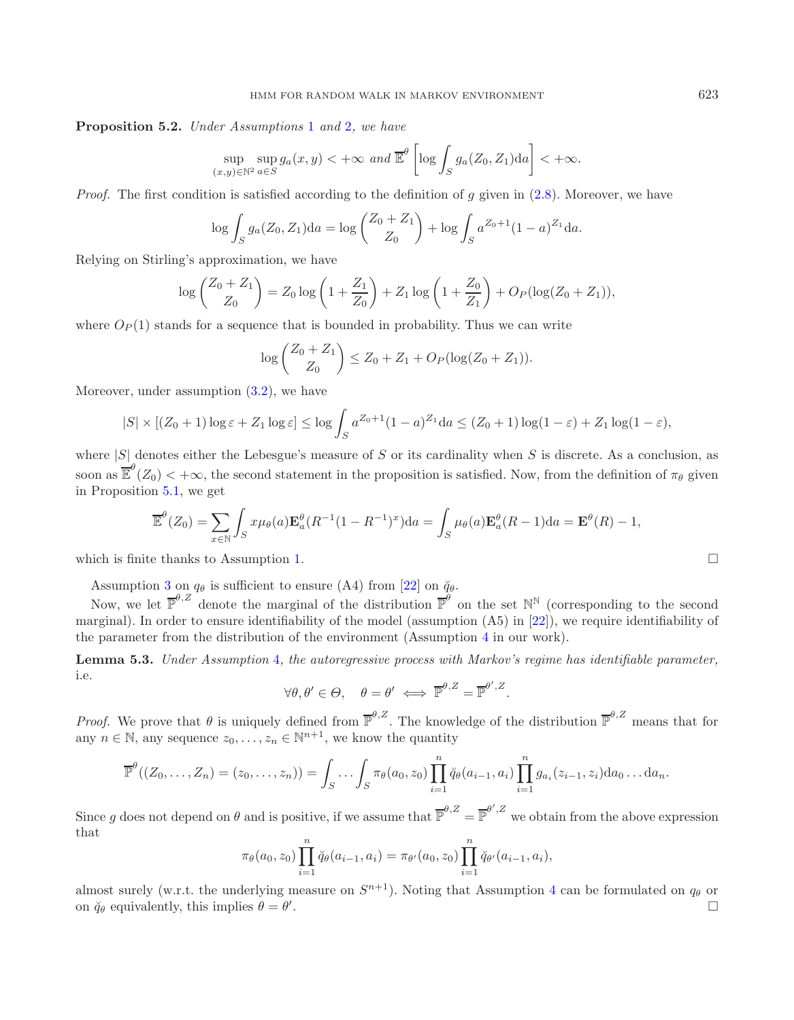**Proposition 5.2.** *Under Assumptions* [1](#page-7-0) *and* [2](#page-7-1)*, we have*

$$
\sup_{(x,y)\in\mathbb{N}^2}\sup_{a\in S}g_a(x,y)<+\infty \text{ and } \overline{\mathbb{E}}^{\theta}\left[\log\int_S g_a(Z_0,Z_1)\mathrm{d}a\right]<+\infty.
$$

*Proof.* The first condition is satisfied according to the definition of q given in [\(2.8\)](#page-5-1). Moreover, we have

$$
\log \int_{S} g_a(Z_0, Z_1) da = \log \binom{Z_0 + Z_1}{Z_0} + \log \int_{S} a^{Z_0 + 1} (1 - a)^{Z_1} da.
$$

Relying on Stirling's approximation, we have

$$
\log\binom{Z_0+Z_1}{Z_0} = Z_0 \log\left(1+\frac{Z_1}{Z_0}\right) + Z_1 \log\left(1+\frac{Z_0}{Z_1}\right) + O_P(\log(Z_0+Z_1)),
$$

where  $O_P(1)$  stands for a sequence that is bounded in probability. Thus we can write

$$
\log\binom{Z_0+Z_1}{Z_0} \le Z_0 + Z_1 + O_P(\log(Z_0+Z_1)).
$$

Moreover, under assumption [\(3.2\)](#page-7-6), we have

$$
|S| \times [(Z_0+1)\log \varepsilon + Z_1 \log \varepsilon] \le \log \int_S a^{Z_0+1} (1-a)^{Z_1} da \le (Z_0+1) \log(1-\varepsilon) + Z_1 \log(1-\varepsilon),
$$

where  $|S|$  denotes either the Lebesgue's measure of S or its cardinality when S is discrete. As a conclusion, as soon as  $\overline{\mathbb{E}}^{\theta}(Z_0) < +\infty$ , the second statement in the proposition is satisfied. Now, from the definition of  $\pi_{\theta}$  given in Proposition [5.1,](#page-15-2) we get

$$
\overline{\mathbb{E}}^{\theta}(Z_0) = \sum_{x \in \mathbb{N}} \int_S x \mu_{\theta}(a) \mathbf{E}_a^{\theta}(R^{-1}(1 - R^{-1})^x) da = \int_S \mu_{\theta}(a) \mathbf{E}_a^{\theta}(R - 1) da = \mathbf{E}^{\theta}(R) - 1,
$$

which is finite thanks to Assumption [1.](#page-7-0)

Assumption [3](#page-7-4) on  $q_{\theta}$  is sufficient to ensure (A4) from [\[22\]](#page-19-12) on  $\check{q}_{\theta}$ .

Now, we let  $\overline{\mathbb{P}}^{\theta,Z}$  denote the marginal of the distribution  $\overline{\mathbb{P}}^{\theta}$  on the set  $\mathbb{N}^{\mathbb{N}}$  (corresponding to the second marginal). In order to ensure identifiability of the model (assumption (A5) in [\[22](#page-19-12)]), we require identifiability of the parameter from the distribution of the environment (Assumption [4](#page-7-2) in our work).

**Lemma 5.3.** *Under Assumption* [4](#page-7-2)*, the autoregressive process with Markov's regime has identifiable parameter,* i.e.

$$
\forall \theta, \theta' \in \Theta, \quad \theta = \theta' \iff \overline{\mathbb{P}}^{\theta, Z} = \overline{\mathbb{P}}^{\theta', Z}.
$$

*Proof.* We prove that  $\theta$  is uniquely defined from  $\overline{\mathbb{P}}^{\theta,Z}$ . The knowledge of the distribution  $\overline{\mathbb{P}}^{\theta,Z}$  means that for any  $n \in \mathbb{N}$ , any sequence  $z_0, \ldots, z_n \in \mathbb{N}^{n+1}$ , we know the quantity

$$
\overline{\mathbb{P}}^{\theta}((Z_0,\ldots,Z_n)=(z_0,\ldots,z_n))=\int_S\ldots\int_S\pi_{\theta}(a_0,z_0)\prod_{i=1}^n\breve{q}_{\theta}(a_{i-1},a_i)\prod_{i=1}^ng_{a_i}(z_{i-1},z_i)\mathrm{d}a_0\ldots\mathrm{d}a_n.
$$

Since g does not depend on  $\theta$  and is positive, if we assume that  $\overline{\mathbb{P}}^{\theta,Z} = \overline{\mathbb{P}}^{\theta',Z}$  we obtain from the above expression that

$$
\pi_{\theta}(a_0, z_0) \prod_{i=1}^n \breve{q}_{\theta}(a_{i-1}, a_i) = \pi_{\theta'}(a_0, z_0) \prod_{i=1}^n \breve{q}_{\theta'}(a_{i-1}, a_i),
$$

almost surely (w.r.t. the underlying measure on  $S^{n+1}$ ). Noting that Assumption [4](#page-7-2) can be formulated on  $q_{\theta}$  or on  $\breve{q}_{\theta}$  equivalently, this implies  $\theta = \theta'$ . . The contract of the contract of the contract of the contract of  $\Box$ 

$$
\Box
$$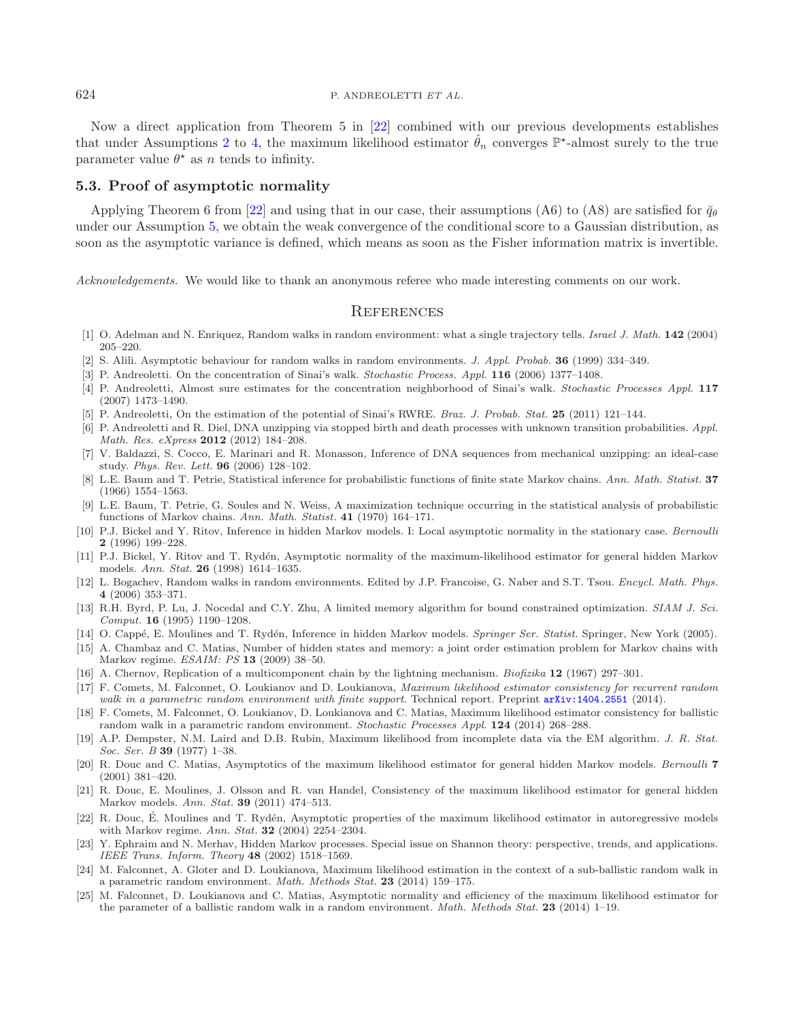Now a direct application from Theorem 5 in [\[22](#page-19-12)] combined with our previous developments establishes that under Assumptions [2](#page-7-1) to [4,](#page-7-2) the maximum likelihood estimator  $\hat{\theta}_n$  converges  $\mathbb{P}^*$ -almost surely to the true parameter value  $\theta^*$  as n tends to infinity.

# <span id="page-19-21"></span>**5.3. Proof of asymptotic normality**

Applying Theorem 6 from [\[22\]](#page-19-12) and using that in our case, their assumptions (A6) to (A8) are satisfied for  $\breve{q}_{\theta}$ under our Assumption [5,](#page-7-3) we obtain the weak convergence of the conditional score to a Gaussian distribution, as soon as the asymptotic variance is defined, which means as soon as the Fisher information matrix is invertible.

*Acknowledgements.* We would like to thank an anonymous referee who made interesting comments on our work.

# **REFERENCES**

- <span id="page-19-5"></span>[1] O. Adelman and N. Enriquez, Random walks in random environment: what a single trajectory tells. *Israel J. Math.* **142** (2004) 205–220.
- <span id="page-19-22"></span>[2] S. Alili. Asymptotic behaviour for random walks in random environments. *J. Appl. Probab.* **36** (1999) 334–349.
- <span id="page-19-9"></span>[3] P. Andreoletti. On the concentration of Sinai's walk. *Stochastic Process. Appl.* **116** (2006) 1377–1408.
- <span id="page-19-10"></span>[4] P. Andreoletti, Almost sure estimates for the concentration neighborhood of Sinai's walk. *Stochastic Processes Appl.* **117** (2007) 1473–1490.
- <span id="page-19-3"></span>[5] P. Andreoletti, On the estimation of the potential of Sinai's RWRE. *Braz. J. Probab. Stat.* **25** (2011) 121–144.
- <span id="page-19-4"></span>[6] P. Andreoletti and R. Diel, DNA unzipping via stopped birth and death processes with unknown transition probabilities. *Appl. Math. Res. eXpress* **2012** (2012) 184–208.
- <span id="page-19-2"></span>[7] V. Baldazzi, S. Cocco, E. Marinari and R. Monasson, Inference of DNA sequences from mechanical unzipping: an ideal-case study. *Phys. Rev. Lett.* **96** (2006) 128–102.
- <span id="page-19-13"></span>[8] L.E. Baum and T. Petrie, Statistical inference for probabilistic functions of finite state Markov chains. *Ann. Math. Statist.* **37** (1966) 1554–1563.
- <span id="page-19-23"></span>[9] L.E. Baum, T. Petrie, G. Soules and N. Weiss, A maximization technique occurring in the statistical analysis of probabilistic functions of Markov chains. *Ann. Math. Statist.* **41** (1970) 164–171.
- <span id="page-19-14"></span>[10] P.J. Bickel and Y. Ritov, Inference in hidden Markov models. I: Local asymptotic normality in the stationary case. *Bernoulli* **2** (1996) 199–228.
- <span id="page-19-15"></span>[11] P.J. Bickel, Y. Ritov and T. Rydén, Asymptotic normality of the maximum-likelihood estimator for general hidden Markov models. *Ann. Stat.* **26** (1998) 1614–1635.
- <span id="page-19-1"></span>[12] L. Bogachev, Random walks in random environments. Edited by J.P. Francoise, G. Naber and S.T. Tsou. *Encycl. Math. Phys.* **4** (2006) 353–371.
- <span id="page-19-25"></span>[13] R.H. Byrd, P. Lu, J. Nocedal and C.Y. Zhu, A limited memory algorithm for bound constrained optimization. *SIAM J. Sci. Comput.* **16** (1995) 1190–1208.
- <span id="page-19-19"></span>[14] O. Capp´e, E. Moulines and T. Ryd´en, Inference in hidden Markov models. *Springer Ser. Statist.* Springer, New York (2005).
- <span id="page-19-20"></span>[15] A. Chambaz and C. Matias, Number of hidden states and memory: a joint order estimation problem for Markov chains with Markov regime. *ESAIM: PS* **13** (2009) 38–50.
- [16] A. Chernov, Replication of a multicomponent chain by the lightning mechanism. *Biofizika* **12** (1967) 297–301.
- <span id="page-19-11"></span><span id="page-19-0"></span>[17] F. Comets, M. Falconnet, O. Loukianov and D. Loukianova, *Maximum likelihood estimator consistency for recurrent random walk in a parametric random environment with finite support*. Technical report. Preprint [arXiv:1404.2551](http://arxiv.org/abs/1404.2551) (2014).
- <span id="page-19-6"></span>[18] F. Comets, M. Falconnet, O. Loukianov, D. Loukianova and C. Matias, Maximum likelihood estimator consistency for ballistic random walk in a parametric random environment. *Stochastic Processes Appl.* **124** (2014) 268–288.
- <span id="page-19-24"></span>[19] A.P. Dempster, N.M. Laird and D.B. Rubin, Maximum likelihood from incomplete data via the EM algorithm. *J. R. Stat. Soc. Ser. B* **39** (1977) 1–38.
- <span id="page-19-16"></span>[20] R. Douc and C. Matias, Asymptotics of the maximum likelihood estimator for general hidden Markov models. *Bernoulli* **7** (2001) 381–420.
- <span id="page-19-17"></span>[21] R. Douc, E. Moulines, J. Olsson and R. van Handel, Consistency of the maximum likelihood estimator for general hidden Markov models. *Ann. Stat.* **39** (2011) 474–513.
- <span id="page-19-12"></span>[22] R. Douc, E. Moulines and T. Rydén, Asymptotic properties of the maximum likelihood estimator in autoregressive models with Markov regime. *Ann. Stat.* **32** (2004) 2254–2304.
- <span id="page-19-18"></span>[23] Y. Ephraim and N. Merhav, Hidden Markov processes. Special issue on Shannon theory: perspective, trends, and applications. *IEEE Trans. Inform. Theory* **48** (2002) 1518–1569.
- <span id="page-19-8"></span>[24] M. Falconnet, A. Gloter and D. Loukianova, Maximum likelihood estimation in the context of a sub-ballistic random walk in a parametric random environment. *Math. Methods Stat.* **23** (2014) 159–175.
- <span id="page-19-7"></span>[25] M. Falconnet, D. Loukianova and C. Matias, Asymptotic normality and efficiency of the maximum likelihood estimator for the parameter of a ballistic random walk in a random environment. *Math. Methods Stat.* **23** (2014) 1–19.